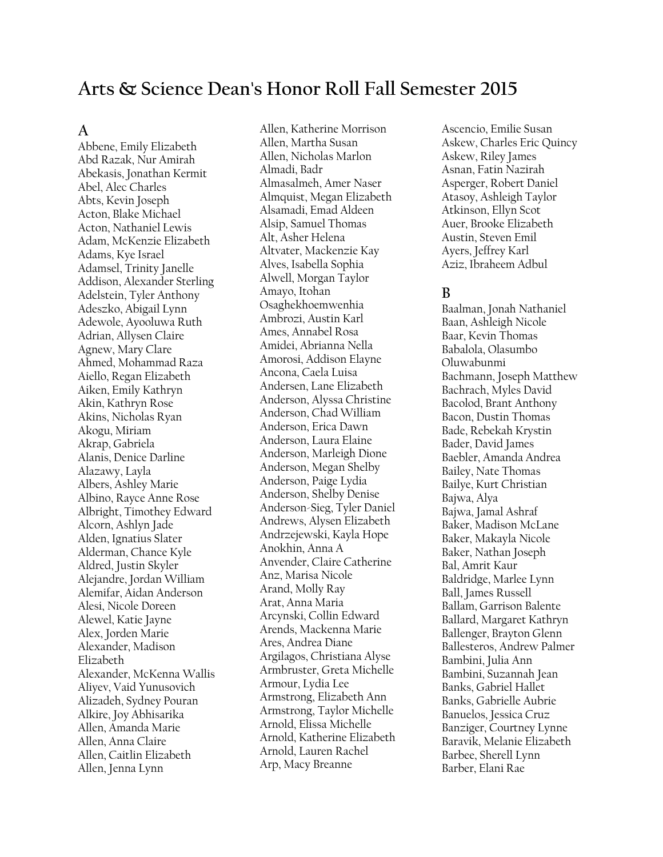# **Arts & Science Dean's Honor Roll Fall Semester 2015**

### **A**

Abbene, Emily Elizabeth Abd Razak, Nur Amirah Abekasis, Jonathan Kermit Abel, Alec Charles Abts, Kevin Joseph Acton, Blake Michael Acton, Nathaniel Lewis Adam, McKenzie Elizabeth Adams, Kye Israel Adamsel, Trinity Janelle Addison, Alexander Sterling Adelstein, Tyler Anthony Adeszko, Abigail Lynn Adewole, Ayooluwa Ruth Adrian, Allysen Claire Agnew, Mary Clare Ahmed, Mohammad Raza Aiello, Regan Elizabeth Aiken, Emily Kathryn Akin, Kathryn Rose Akins, Nicholas Ryan Akogu, Miriam Akrap, Gabriela Alanis, Denice Darline Alazawy, Layla Albers, Ashley Marie Albino, Rayce Anne Rose Albright, Timothey Edward Alcorn, Ashlyn Jade Alden, Ignatius Slater Alderman, Chance Kyle Aldred, Justin Skyler Alejandre, Jordan William Alemifar, Aidan Anderson Alesi, Nicole Doreen Alewel, Katie Jayne Alex, Jorden Marie Alexander, Madison Elizabeth Alexander, McKenna Wallis Aliyev, Vaid Yunusovich Alizadeh, Sydney Pouran Alkire, Joy Abhisarika Allen, Amanda Marie Allen, Anna Claire Allen, Caitlin Elizabeth Allen, Jenna Lynn

Allen, Katherine Morrison Allen, Martha Susan Allen, Nicholas Marlon Almadi, Badr Almasalmeh, Amer Naser Almquist, Megan Elizabeth Alsamadi, Emad Aldeen Alsip, Samuel Thomas Alt, Asher Helena Altvater, Mackenzie Kay Alves, Isabella Sophia Alwell, Morgan Taylor Amayo, Itohan Osaghekhoemwenhia Ambrozi, Austin Karl Ames, Annabel Rosa Amidei, Abrianna Nella Amorosi, Addison Elayne Ancona, Caela Luisa Andersen, Lane Elizabeth Anderson, Alyssa Christine Anderson, Chad William Anderson, Erica Dawn Anderson, Laura Elaine Anderson, Marleigh Dione Anderson, Megan Shelby Anderson, Paige Lydia Anderson, Shelby Denise Anderson-Sieg, Tyler Daniel Andrews, Alysen Elizabeth Andrzejewski, Kayla Hope Anokhin, Anna A Anvender, Claire Catherine Anz, Marisa Nicole Arand, Molly Ray Arat, Anna Maria Arcynski, Collin Edward Arends, Mackenna Marie Ares, Andrea Diane Argilagos, Christiana Alyse Armbruster, Greta Michelle Armour, Lydia Lee Armstrong, Elizabeth Ann Armstrong, Taylor Michelle Arnold, Elissa Michelle Arnold, Katherine Elizabeth Arnold, Lauren Rachel Arp, Macy Breanne

Ascencio, Emilie Susan Askew, Charles Eric Quincy Askew, Riley James Asnan, Fatin Nazirah Asperger, Robert Daniel Atasoy, Ashleigh Taylor Atkinson, Ellyn Scot Auer, Brooke Elizabeth Austin, Steven Emil Ayers, Jeffrey Karl Aziz, Ibraheem Adbul

# **B**

Baalman, Jonah Nathaniel Baan, Ashleigh Nicole Baar, Kevin Thomas Babalola, Olasumbo Oluwabunmi Bachmann, Joseph Matthew Bachrach, Myles David Bacolod, Brant Anthony Bacon, Dustin Thomas Bade, Rebekah Krystin Bader, David James Baebler, Amanda Andrea Bailey, Nate Thomas Bailye, Kurt Christian Bajwa, Alya Bajwa, Jamal Ashraf Baker, Madison McLane Baker, Makayla Nicole Baker, Nathan Joseph Bal, Amrit Kaur Baldridge, Marlee Lynn Ball, James Russell Ballam, Garrison Balente Ballard, Margaret Kathryn Ballenger, Brayton Glenn Ballesteros, Andrew Palmer Bambini, Julia Ann Bambini, Suzannah Jean Banks, Gabriel Hallet Banks, Gabrielle Aubrie Banuelos, Jessica Cruz Banziger, Courtney Lynne Baravik, Melanie Elizabeth Barbee, Sherell Lynn Barber, Elani Rae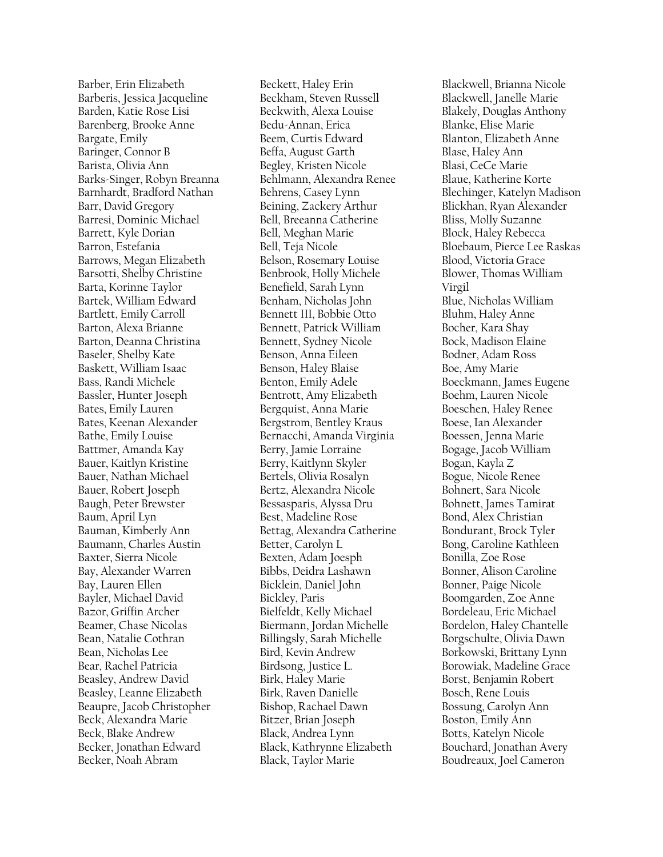Barber, Erin Elizabeth Barberis, Jessica Jacqueline Barden, Katie Rose Lisi Barenberg, Brooke Anne Bargate, Emily Baringer, Connor B Barista, Olivia Ann Barks-Singer, Robyn Breanna Barnhardt, Bradford Nathan Barr, David Gregory Barresi, Dominic Michael Barrett, Kyle Dorian Barron, Estefania Barrows, Megan Elizabeth Barsotti, Shelby Christine Barta, Korinne Taylor Bartek, William Edward Bartlett, Emily Carroll Barton, Alexa Brianne Barton, Deanna Christina Baseler, Shelby Kate Baskett, William Isaac Bass, Randi Michele Bassler, Hunter Joseph Bates, Emily Lauren Bates, Keenan Alexander Bathe, Emily Louise Battmer, Amanda Kay Bauer, Kaitlyn Kristine Bauer, Nathan Michael Bauer, Robert Joseph Baugh, Peter Brewster Baum, April Lyn Bauman, Kimberly Ann Baumann, Charles Austin Baxter, Sierra Nicole Bay, Alexander Warren Bay, Lauren Ellen Bayler, Michael David Bazor, Griffin Archer Beamer, Chase Nicolas Bean, Natalie Cothran Bean, Nicholas Lee Bear, Rachel Patricia Beasley, Andrew David Beasley, Leanne Elizabeth Beaupre, Jacob Christopher Beck, Alexandra Marie Beck, Blake Andrew Becker, Jonathan Edward Becker, Noah Abram

Beckett, Haley Erin Beckham, Steven Russell Beckwith, Alexa Louise Bedu-Annan, Erica Beem, Curtis Edward Beffa, August Garth Begley, Kristen Nicole Behlmann, Alexandra Renee Behrens, Casey Lynn Beining, Zackery Arthur Bell, Breeanna Catherine Bell, Meghan Marie Bell, Teja Nicole Belson, Rosemary Louise Benbrook, Holly Michele Benefield, Sarah Lynn Benham, Nicholas John Bennett III, Bobbie Otto Bennett, Patrick William Bennett, Sydney Nicole Benson, Anna Eileen Benson, Haley Blaise Benton, Emily Adele Bentrott, Amy Elizabeth Bergquist, Anna Marie Bergstrom, Bentley Kraus Bernacchi, Amanda Virginia Berry, Jamie Lorraine Berry, Kaitlynn Skyler Bertels, Olivia Rosalyn Bertz, Alexandra Nicole Bessasparis, Alyssa Dru Best, Madeline Rose Bettag, Alexandra Catherine Better, Carolyn L Bexten, Adam Joesph Bibbs, Deidra Lashawn Bicklein, Daniel John Bickley, Paris Bielfeldt, Kelly Michael Biermann, Jordan Michelle Billingsly, Sarah Michelle Bird, Kevin Andrew Birdsong, Justice L. Birk, Haley Marie Birk, Raven Danielle Bishop, Rachael Dawn Bitzer, Brian Joseph Black, Andrea Lynn Black, Kathrynne Elizabeth Black, Taylor Marie

Blackwell, Brianna Nicole Blackwell, Janelle Marie Blakely, Douglas Anthony Blanke, Elise Marie Blanton, Elizabeth Anne Blase, Haley Ann Blasi, CeCe Marie Blaue, Katherine Korte Blechinger, Katelyn Madison Blickhan, Ryan Alexander Bliss, Molly Suzanne Block, Haley Rebecca Bloebaum, Pierce Lee Raskas Blood, Victoria Grace Blower, Thomas William Virgil Blue, Nicholas William Bluhm, Haley Anne Bocher, Kara Shay Bock, Madison Elaine Bodner, Adam Ross Boe, Amy Marie Boeckmann, James Eugene Boehm, Lauren Nicole Boeschen, Haley Renee Boese, Ian Alexander Boessen, Jenna Marie Bogage, Jacob William Bogan, Kayla Z Bogue, Nicole Renee Bohnert, Sara Nicole Bohnett, James Tamirat Bond, Alex Christian Bondurant, Brock Tyler Bong, Caroline Kathleen Bonilla, Zoe Rose Bonner, Alison Caroline Bonner, Paige Nicole Boomgarden, Zoe Anne Bordeleau, Eric Michael Bordelon, Haley Chantelle Borgschulte, Olivia Dawn Borkowski, Brittany Lynn Borowiak, Madeline Grace Borst, Benjamin Robert Bosch, Rene Louis Bossung, Carolyn Ann Boston, Emily Ann Botts, Katelyn Nicole Bouchard, Jonathan Avery Boudreaux, Joel Cameron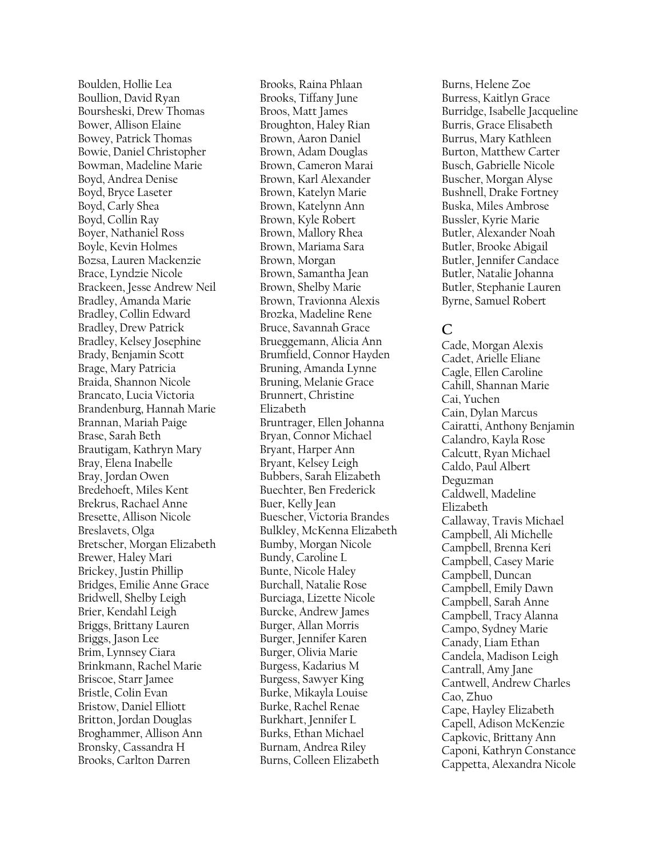Boulden, Hollie Lea Boullion, David Ryan Boursheski, Drew Thomas Bower, Allison Elaine Bowey, Patrick Thomas Bowie, Daniel Christopher Bowman, Madeline Marie Boyd, Andrea Denise Boyd, Bryce Laseter Boyd, Carly Shea Boyd, Collin Ray Boyer, Nathaniel Ross Boyle, Kevin Holmes Bozsa, Lauren Mackenzie Brace, Lyndzie Nicole Brackeen, Jesse Andrew Neil Bradley, Amanda Marie Bradley, Collin Edward Bradley, Drew Patrick Bradley, Kelsey Josephine Brady, Benjamin Scott Brage, Mary Patricia Braida, Shannon Nicole Brancato, Lucia Victoria Brandenburg, Hannah Marie Brannan, Mariah Paige Brase, Sarah Beth Brautigam, Kathryn Mary Bray, Elena Inabelle Bray, Jordan Owen Bredehoeft, Miles Kent Brekrus, Rachael Anne Bresette, Allison Nicole Breslavets, Olga Bretscher, Morgan Elizabeth Brewer, Haley Mari Brickey, Justin Phillip Bridges, Emilie Anne Grace Bridwell, Shelby Leigh Brier, Kendahl Leigh Briggs, Brittany Lauren Briggs, Jason Lee Brim, Lynnsey Ciara Brinkmann, Rachel Marie Briscoe, Starr Jamee Bristle, Colin Evan Bristow, Daniel Elliott Britton, Jordan Douglas Broghammer, Allison Ann Bronsky, Cassandra H Brooks, Carlton Darren

Brooks, Raina Phlaan Brooks, Tiffany June Broos, Matt James Broughton, Haley Rian Brown, Aaron Daniel Brown, Adam Douglas Brown, Cameron Marai Brown, Karl Alexander Brown, Katelyn Marie Brown, Katelynn Ann Brown, Kyle Robert Brown, Mallory Rhea Brown, Mariama Sara Brown, Morgan Brown, Samantha Jean Brown, Shelby Marie Brown, Travionna Alexis Brozka, Madeline Rene Bruce, Savannah Grace Brueggemann, Alicia Ann Brumfield, Connor Hayden Bruning, Amanda Lynne Bruning, Melanie Grace Brunnert, Christine Elizabeth Bruntrager, Ellen Johanna Bryan, Connor Michael Bryant, Harper Ann Bryant, Kelsey Leigh Bubbers, Sarah Elizabeth Buechter, Ben Frederick Buer, Kelly Jean Buescher, Victoria Brandes Bulkley, McKenna Elizabeth Bumby, Morgan Nicole Bundy, Caroline L Bunte, Nicole Haley Burchall, Natalie Rose Burciaga, Lizette Nicole Burcke, Andrew James Burger, Allan Morris Burger, Jennifer Karen Burger, Olivia Marie Burgess, Kadarius M Burgess, Sawyer King Burke, Mikayla Louise Burke, Rachel Renae Burkhart, Jennifer L Burks, Ethan Michael Burnam, Andrea Riley Burns, Colleen Elizabeth

Burns, Helene Zoe Burress, Kaitlyn Grace Burridge, Isabelle Jacqueline Burris, Grace Elisabeth Burrus, Mary Kathleen Burton, Matthew Carter Busch, Gabrielle Nicole Buscher, Morgan Alyse Bushnell, Drake Fortney Buska, Miles Ambrose Bussler, Kyrie Marie Butler, Alexander Noah Butler, Brooke Abigail Butler, Jennifer Candace Butler, Natalie Johanna Butler, Stephanie Lauren Byrne, Samuel Robert

# **C**

Cade, Morgan Alexis Cadet, Arielle Eliane Cagle, Ellen Caroline Cahill, Shannan Marie Cai, Yuchen Cain, Dylan Marcus Cairatti, Anthony Benjamin Calandro, Kayla Rose Calcutt, Ryan Michael Caldo, Paul Albert Deguzman Caldwell, Madeline Elizabeth Callaway, Travis Michael Campbell, Ali Michelle Campbell, Brenna Keri Campbell, Casey Marie Campbell, Duncan Campbell, Emily Dawn Campbell, Sarah Anne Campbell, Tracy Alanna Campo, Sydney Marie Canady, Liam Ethan Candela, Madison Leigh Cantrall, Amy Jane Cantwell, Andrew Charles Cao, Zhuo Cape, Hayley Elizabeth Capell, Adison McKenzie Capkovic, Brittany Ann Caponi, Kathryn Constance Cappetta, Alexandra Nicole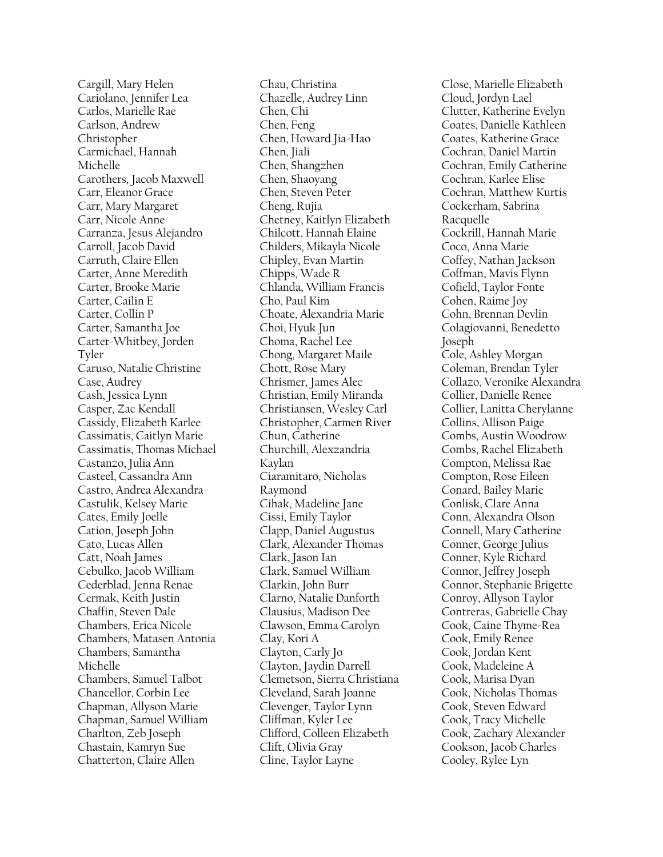Cargill, Mary Helen Cariolano, Jennifer Lea Carlos, Marielle Rae Carlson, Andrew Christopher Carmichael, Hannah Michelle Carothers, Jacob Maxwell Carr, Eleanor Grace Carr, Mary Margaret Carr, Nicole Anne Carranza, Jesus Alejandro Carroll, Jacob David Carruth, Claire Ellen Carter, Anne Meredith Carter, Brooke Marie Carter, Cailin E Carter, Collin P Carter, Samantha Joe Carter-Whitbey, Jorden Tyler Caruso, Natalie Christine Case, Audrey Cash, Jessica Lynn Casper, Zac Kendall Cassidy, Elizabeth Karlee Cassimatis, Caitlyn Marie Cassimatis, Thomas Michael Castanzo, Julia Ann Casteel, Cassandra Ann Castro, Andrea Alexandra Castulik, Kelsey Marie Cates, Emily Joelle Cation, Joseph John Cato, Lucas Allen Catt, Noah James Cebulko, Jacob William Cederblad, Jenna Renae Cermak, Keith Justin Chaffin, Steven Dale Chambers, Erica Nicole Chambers, Matasen Antonia Chambers, Samantha Michelle Chambers, Samuel Talbot Chancellor, Corbin Lee Chapman, Allyson Marie Chapman, Samuel William Charlton, Zeb Joseph Chastain, Kamryn Sue Chatterton, Claire Allen

Chau, Christina Chazelle, Audrey Linn Chen, Chi Chen, Feng Chen, Howard Jia-Hao Chen, Jiali Chen, Shangzhen Chen, Shaoyang Chen, Steven Peter Cheng, Rujia Chetney, Kaitlyn Elizabeth Chilcott, Hannah Elaine Childers, Mikayla Nicole Chipley, Evan Martin Chipps, Wade R Chlanda, William Francis Cho, Paul Kim Choate, Alexandria Marie Choi, Hyuk Jun Choma, Rachel Lee Chong, Margaret Maile Chott, Rose Mary Chrismer, James Alec Christian, Emily Miranda Christiansen, Wesley Carl Christopher, Carmen River Chun, Catherine Churchill, Alexzandria Kaylan Ciaramitaro, Nicholas Raymond Cihak, Madeline Jane Cissi, Emily Taylor Clapp, Daniel Augustus Clark, Alexander Thomas Clark, Jason Ian Clark, Samuel William Clarkin, John Burr Clarno, Natalie Danforth Clausius, Madison Dee Clawson, Emma Carolyn Clay, Kori A Clayton, Carly Jo Clayton, Jaydin Darrell Clemetson, Sierra Christiana Cleveland, Sarah Joanne Clevenger, Taylor Lynn Cliffman, Kyler Lee Clifford, Colleen Elizabeth Clift, Olivia Gray Cline, Taylor Layne

Close, Marielle Elizabeth Cloud, Jordyn Lael Clutter, Katherine Evelyn Coates, Danielle Kathleen Coates, Katherine Grace Cochran, Daniel Martin Cochran, Emily Catherine Cochran, Karlee Elise Cochran, Matthew Kurtis Cockerham, Sabrina Racquelle Cockrill, Hannah Marie Coco, Anna Marie Coffey, Nathan Jackson Coffman, Mavis Flynn Cofield, Taylor Fonte Cohen, Raime Joy Cohn, Brennan Devlin Colagiovanni, Benedetto Joseph Cole, Ashley Morgan Coleman, Brendan Tyler Collazo, Veronike Alexandra Collier, Danielle Renee Collier, Lanitta Cherylanne Collins, Allison Paige Combs, Austin Woodrow Combs, Rachel Elizabeth Compton, Melissa Rae Compton, Rose Eileen Conard, Bailey Marie Conlisk, Clare Anna Conn, Alexandra Olson Connell, Mary Catherine Conner, George Julius Conner, Kyle Richard Connor, Jeffrey Joseph Connor, Stephanie Brigette Conroy, Allyson Taylor Contreras, Gabrielle Chay Cook, Caine Thyme-Rea Cook, Emily Renee Cook, Jordan Kent Cook, Madeleine A Cook, Marisa Dyan Cook, Nicholas Thomas Cook, Steven Edward Cook, Tracy Michelle Cook, Zachary Alexander Cookson, Jacob Charles Cooley, Rylee Lyn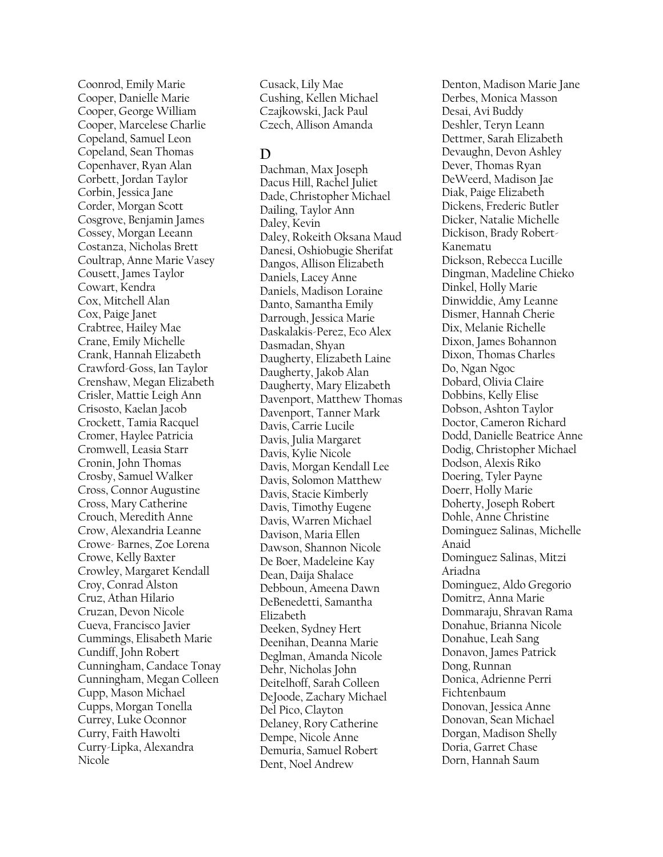Coonrod, Emily Marie Cooper, Danielle Marie Cooper, George William Cooper, Marcelese Charlie Copeland, Samuel Leon Copeland, Sean Thomas Copenhaver, Ryan Alan Corbett, Jordan Taylor Corbin, Jessica Jane Corder, Morgan Scott Cosgrove, Benjamin James Cossey, Morgan Leeann Costanza, Nicholas Brett Coultrap, Anne Marie Vasey Cousett, James Taylor Cowart, Kendra Cox, Mitchell Alan Cox, Paige Janet Crabtree, Hailey Mae Crane, Emily Michelle Crank, Hannah Elizabeth Crawford-Goss, Ian Taylor Crenshaw, Megan Elizabeth Crisler, Mattie Leigh Ann Crisosto, Kaelan Jacob Crockett, Tamia Racquel Cromer, Haylee Patricia Cromwell, Leasia Starr Cronin, John Thomas Crosby, Samuel Walker Cross, Connor Augustine Cross, Mary Catherine Crouch, Meredith Anne Crow, Alexandria Leanne Crowe- Barnes, Zoe Lorena Crowe, Kelly Baxter Crowley, Margaret Kendall Croy, Conrad Alston Cruz, Athan Hilario Cruzan, Devon Nicole Cueva, Francisco Javier Cummings, Elisabeth Marie Cundiff, John Robert Cunningham, Candace Tonay Cunningham, Megan Colleen Cupp, Mason Michael Cupps, Morgan Tonella Currey, Luke Oconnor Curry, Faith Hawolti Curry-Lipka, Alexandra Nicole

Cusack, Lily Mae Cushing, Kellen Michael Czajkowski, Jack Paul Czech, Allison Amanda

### **D**

Dachman, Max Joseph Dacus Hill, Rachel Juliet Dade, Christopher Michael Dailing, Taylor Ann Daley, Kevin Daley, Rokeith Oksana Maud Danesi, Oshiobugie Sherifat Dangos, Allison Elizabeth Daniels, Lacey Anne Daniels, Madison Loraine Danto, Samantha Emily Darrough, Jessica Marie Daskalakis-Perez, Eco Alex Dasmadan, Shyan Daugherty, Elizabeth Laine Daugherty, Jakob Alan Daugherty, Mary Elizabeth Davenport, Matthew Thomas Davenport, Tanner Mark Davis, Carrie Lucile Davis, Julia Margaret Davis, Kylie Nicole Davis, Morgan Kendall Lee Davis, Solomon Matthew Davis, Stacie Kimberly Davis, Timothy Eugene Davis, Warren Michael Davison, Maria Ellen Dawson, Shannon Nicole De Boer, Madeleine Kay Dean, Daija Shalace Debboun, Ameena Dawn DeBenedetti, Samantha Elizabeth Deeken, Sydney Hert Deenihan, Deanna Marie Deglman, Amanda Nicole Dehr, Nicholas John Deitelhoff, Sarah Colleen DeJoode, Zachary Michael Del Pico, Clayton Delaney, Rory Catherine Dempe, Nicole Anne Demuria, Samuel Robert Dent, Noel Andrew

Denton, Madison Marie Jane Derbes, Monica Masson Desai, Avi Buddy Deshler, Teryn Leann Dettmer, Sarah Elizabeth Devaughn, Devon Ashley Dever, Thomas Ryan DeWeerd, Madison Jae Diak, Paige Elizabeth Dickens, Frederic Butler Dicker, Natalie Michelle Dickison, Brady Robert-Kanematu Dickson, Rebecca Lucille Dingman, Madeline Chieko Dinkel, Holly Marie Dinwiddie, Amy Leanne Dismer, Hannah Cherie Dix, Melanie Richelle Dixon, James Bohannon Dixon, Thomas Charles Do, Ngan Ngoc Dobard, Olivia Claire Dobbins, Kelly Elise Dobson, Ashton Taylor Doctor, Cameron Richard Dodd, Danielle Beatrice Anne Dodig, Christopher Michael Dodson, Alexis Riko Doering, Tyler Payne Doerr, Holly Marie Doherty, Joseph Robert Dohle, Anne Christine Dominguez Salinas, Michelle Anaid Dominguez Salinas, Mitzi Ariadna Dominguez, Aldo Gregorio Domitrz, Anna Marie Dommaraju, Shravan Rama Donahue, Brianna Nicole Donahue, Leah Sang Donavon, James Patrick Dong, Runnan Donica, Adrienne Perri Fichtenbaum Donovan, Jessica Anne Donovan, Sean Michael Dorgan, Madison Shelly Doria, Garret Chase Dorn, Hannah Saum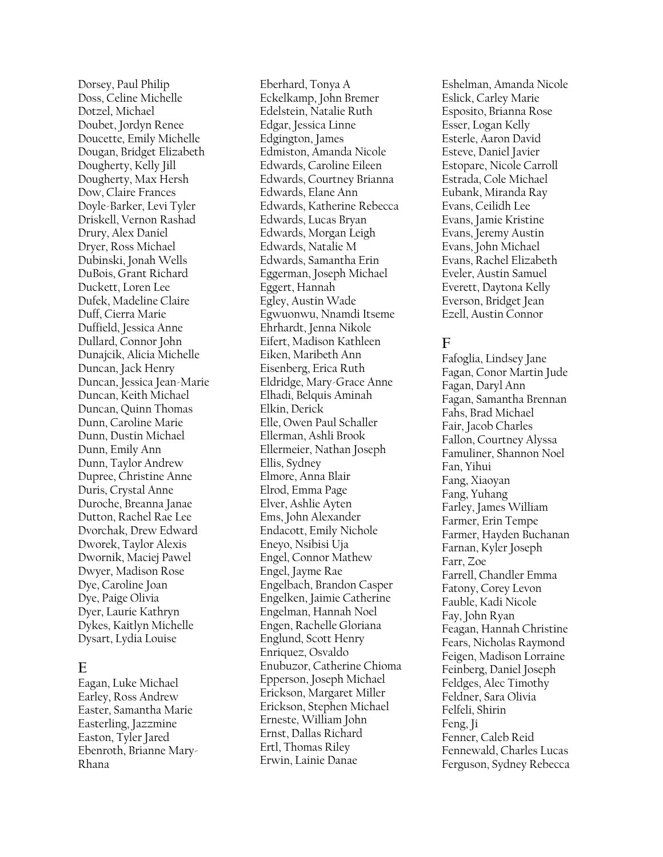Dorsey, Paul Philip Doss, Celine Michelle Dotzel, Michael Doubet, Jordyn Renee Doucette, Emily Michelle Dougan, Bridget Elizabeth Dougherty, Kelly Jill Dougherty, Max Hersh Dow, Claire Frances Doyle-Barker, Levi Tyler Driskell, Vernon Rashad Drury, Alex Daniel Dryer, Ross Michael Dubinski, Jonah Wells DuBois, Grant Richard Duckett, Loren Lee Dufek, Madeline Claire Duff, Cierra Marie Duffield, Jessica Anne Dullard, Connor John Dunajcik, Alicia Michelle Duncan, Jack Henry Duncan, Jessica Jean-Marie Duncan, Keith Michael Duncan, Quinn Thomas Dunn, Caroline Marie Dunn, Dustin Michael Dunn, Emily Ann Dunn, Taylor Andrew Dupree, Christine Anne Duris, Crystal Anne Duroche, Breanna Janae Dutton, Rachel Rae Lee Dvorchak, Drew Edward Dworek, Taylor Alexis Dwornik, Maciej Pawel Dwyer, Madison Rose Dye, Caroline Joan Dye, Paige Olivia Dyer, Laurie Kathryn Dykes, Kaitlyn Michelle Dysart, Lydia Louise

# **E**

Eagan, Luke Michael Earley, Ross Andrew Easter, Samantha Marie Easterling, Jazzmine Easton, Tyler Jared Ebenroth, Brianne Mary-Rhana

Eberhard, Tonya A Eckelkamp, John Bremer Edelstein, Natalie Ruth Edgar, Jessica Linne Edgington, James Edmiston, Amanda Nicole Edwards, Caroline Eileen Edwards, Courtney Brianna Edwards, Elane Ann Edwards, Katherine Rebecca Edwards, Lucas Bryan Edwards, Morgan Leigh Edwards, Natalie M Edwards, Samantha Erin Eggerman, Joseph Michael Eggert, Hannah Egley, Austin Wade Egwuonwu, Nnamdi Itseme Ehrhardt, Jenna Nikole Eifert, Madison Kathleen Eiken, Maribeth Ann Eisenberg, Erica Ruth Eldridge, Mary-Grace Anne Elhadi, Belquis Aminah Elkin, Derick Elle, Owen Paul Schaller Ellerman, Ashli Brook Ellermeier, Nathan Joseph Ellis, Sydney Elmore, Anna Blair Elrod, Emma Page Elver, Ashlie Ayten Ems, John Alexander Endacott, Emily Nichole Eneyo, Nsibisi Uja Engel, Connor Mathew Engel, Jayme Rae Engelbach, Brandon Casper Engelken, Jaimie Catherine Engelman, Hannah Noel Engen, Rachelle Gloriana Englund, Scott Henry Enriquez, Osvaldo Enubuzor, Catherine Chioma Epperson, Joseph Michael Erickson, Margaret Miller Erickson, Stephen Michael Erneste, William John Ernst, Dallas Richard Ertl, Thomas Riley Erwin, Lainie Danae

Eshelman, Amanda Nicole Eslick, Carley Marie Esposito, Brianna Rose Esser, Logan Kelly Esterle, Aaron David Esteve, Daniel Javier Estopare, Nicole Carroll Estrada, Cole Michael Eubank, Miranda Ray Evans, Ceilidh Lee Evans, Jamie Kristine Evans, Jeremy Austin Evans, John Michael Evans, Rachel Elizabeth Eveler, Austin Samuel Everett, Daytona Kelly Everson, Bridget Jean Ezell, Austin Connor

# **F**

Fafoglia, Lindsey Jane Fagan, Conor Martin Jude Fagan, Daryl Ann Fagan, Samantha Brennan Fahs, Brad Michael Fair, Jacob Charles Fallon, Courtney Alyssa Famuliner, Shannon Noel Fan, Yihui Fang, Xiaoyan Fang, Yuhang Farley, James William Farmer, Erin Tempe Farmer, Hayden Buchanan Farnan, Kyler Joseph Farr, Zoe Farrell, Chandler Emma Fatony, Corey Levon Fauble, Kadi Nicole Fay, John Ryan Feagan, Hannah Christine Fears, Nicholas Raymond Feigen, Madison Lorraine Feinberg, Daniel Joseph Feldges, Alec Timothy Feldner, Sara Olivia Felfeli, Shirin Feng, Ji Fenner, Caleb Reid Fennewald, Charles Lucas Ferguson, Sydney Rebecca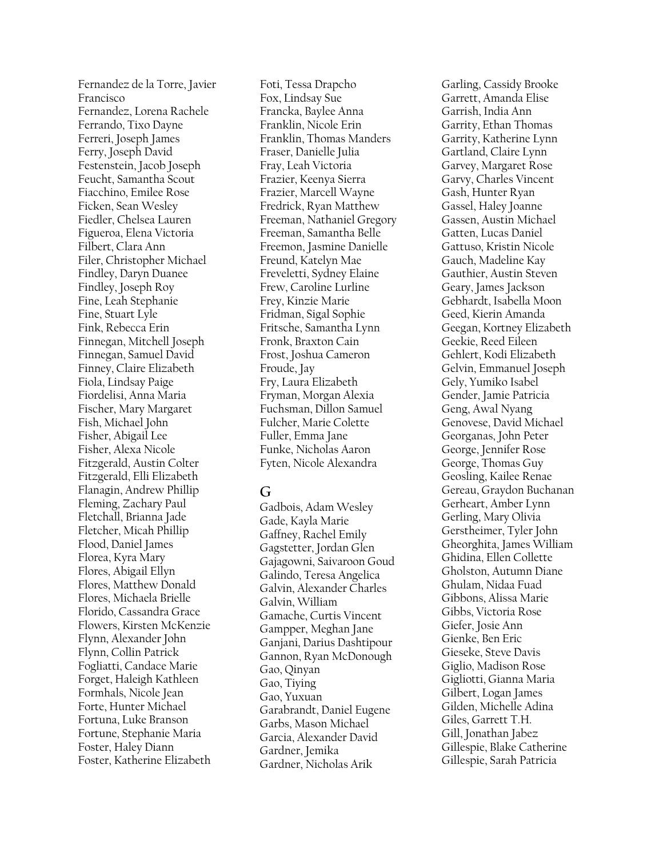Fernandez de la Torre, Javier Francisco Fernandez, Lorena Rachele Ferrando, Tixo Dayne Ferreri, Joseph James Ferry, Joseph David Festenstein, Jacob Joseph Feucht, Samantha Scout Fiacchino, Emilee Rose Ficken, Sean Wesley Fiedler, Chelsea Lauren Figueroa, Elena Victoria Filbert, Clara Ann Filer, Christopher Michael Findley, Daryn Duanee Findley, Joseph Roy Fine, Leah Stephanie Fine, Stuart Lyle Fink, Rebecca Erin Finnegan, Mitchell Joseph Finnegan, Samuel David Finney, Claire Elizabeth Fiola, Lindsay Paige Fiordelisi, Anna Maria Fischer, Mary Margaret Fish, Michael John Fisher, Abigail Lee Fisher, Alexa Nicole Fitzgerald, Austin Colter Fitzgerald, Elli Elizabeth Flanagin, Andrew Phillip Fleming, Zachary Paul Fletchall, Brianna Jade Fletcher, Micah Phillip Flood, Daniel James Florea, Kyra Mary Flores, Abigail Ellyn Flores, Matthew Donald Flores, Michaela Brielle Florido, Cassandra Grace Flowers, Kirsten McKenzie Flynn, Alexander John Flynn, Collin Patrick Fogliatti, Candace Marie Forget, Haleigh Kathleen Formhals, Nicole Jean Forte, Hunter Michael Fortuna, Luke Branson Fortune, Stephanie Maria Foster, Haley Diann Foster, Katherine Elizabeth

Foti, Tessa Drapcho Fox, Lindsay Sue Francka, Baylee Anna Franklin, Nicole Erin Franklin, Thomas Manders Fraser, Danielle Julia Fray, Leah Victoria Frazier, Keenya Sierra Frazier, Marcell Wayne Fredrick, Ryan Matthew Freeman, Nathaniel Gregory Freeman, Samantha Belle Freemon, Jasmine Danielle Freund, Katelyn Mae Freveletti, Sydney Elaine Frew, Caroline Lurline Frey, Kinzie Marie Fridman, Sigal Sophie Fritsche, Samantha Lynn Fronk, Braxton Cain Frost, Joshua Cameron Froude, Jay Fry, Laura Elizabeth Fryman, Morgan Alexia Fuchsman, Dillon Samuel Fulcher, Marie Colette Fuller, Emma Jane Funke, Nicholas Aaron Fyten, Nicole Alexandra

# **G**

Gadbois, Adam Wesley Gade, Kayla Marie Gaffney, Rachel Emily Gagstetter, Jordan Glen Gajagowni, Saivaroon Goud Galindo, Teresa Angelica Galvin, Alexander Charles Galvin, William Gamache, Curtis Vincent Gampper, Meghan Jane Ganjani, Darius Dashtipour Gannon, Ryan McDonough Gao, Qinyan Gao, Tiying Gao, Yuxuan Garabrandt, Daniel Eugene Garbs, Mason Michael Garcia, Alexander David Gardner, Jemika Gardner, Nicholas Arik

Garling, Cassidy Brooke Garrett, Amanda Elise Garrish, India Ann Garrity, Ethan Thomas Garrity, Katherine Lynn Gartland, Claire Lynn Garvey, Margaret Rose Garvy, Charles Vincent Gash, Hunter Ryan Gassel, Haley Joanne Gassen, Austin Michael Gatten, Lucas Daniel Gattuso, Kristin Nicole Gauch, Madeline Kay Gauthier, Austin Steven Geary, James Jackson Gebhardt, Isabella Moon Geed, Kierin Amanda Geegan, Kortney Elizabeth Geekie, Reed Eileen Gehlert, Kodi Elizabeth Gelvin, Emmanuel Joseph Gely, Yumiko Isabel Gender, Jamie Patricia Geng, Awal Nyang Genovese, David Michael Georganas, John Peter George, Jennifer Rose George, Thomas Guy Geosling, Kailee Renae Gereau, Graydon Buchanan Gerheart, Amber Lynn Gerling, Mary Olivia Gerstheimer, Tyler John Gheorghita, James William Ghidina, Ellen Collette Gholston, Autumn Diane Ghulam, Nidaa Fuad Gibbons, Alissa Marie Gibbs, Victoria Rose Giefer, Josie Ann Gienke, Ben Eric Gieseke, Steve Davis Giglio, Madison Rose Gigliotti, Gianna Maria Gilbert, Logan James Gilden, Michelle Adina Giles, Garrett T.H. Gill, Jonathan Jabez Gillespie, Blake Catherine Gillespie, Sarah Patricia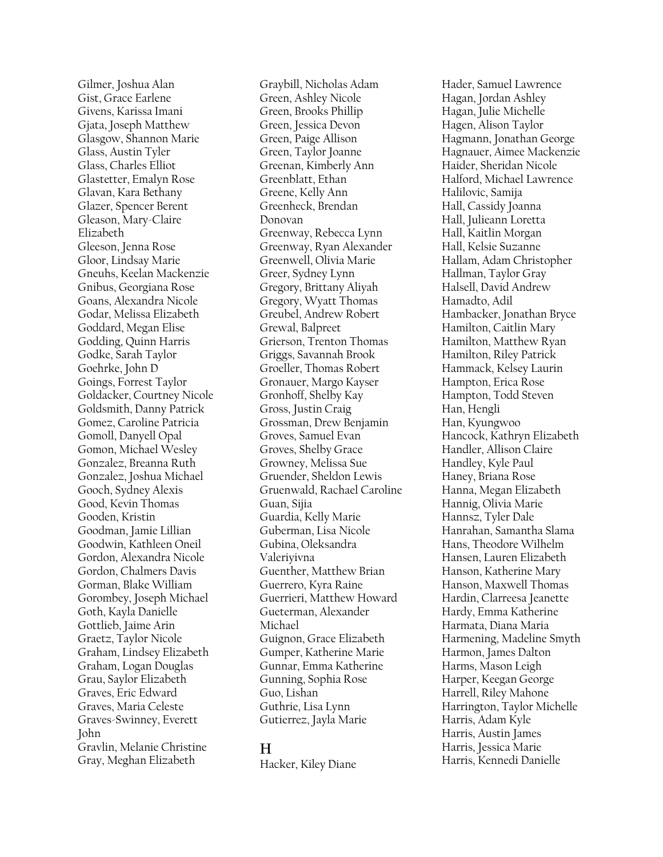Gilmer, Joshua Alan Gist, Grace Earlene Givens, Karissa Imani Gjata, Joseph Matthew Glasgow, Shannon Marie Glass, Austin Tyler Glass, Charles Elliot Glastetter, Emalyn Rose Glavan, Kara Bethany Glazer, Spencer Berent Gleason, Mary-Claire Elizabeth Gleeson, Jenna Rose Gloor, Lindsay Marie Gneuhs, Keelan Mackenzie Gnibus, Georgiana Rose Goans, Alexandra Nicole Godar, Melissa Elizabeth Goddard, Megan Elise Godding, Quinn Harris Godke, Sarah Taylor Goehrke, John D Goings, Forrest Taylor Goldacker, Courtney Nicole Goldsmith, Danny Patrick Gomez, Caroline Patricia Gomoll, Danyell Opal Gomon, Michael Wesley Gonzalez, Breanna Ruth Gonzalez, Joshua Michael Gooch, Sydney Alexis Good, Kevin Thomas Gooden, Kristin Goodman, Jamie Lillian Goodwin, Kathleen Oneil Gordon, Alexandra Nicole Gordon, Chalmers Davis Gorman, Blake William Gorombey, Joseph Michael Goth, Kayla Danielle Gottlieb, Jaime Arin Graetz, Taylor Nicole Graham, Lindsey Elizabeth Graham, Logan Douglas Grau, Saylor Elizabeth Graves, Eric Edward Graves, Maria Celeste Graves-Swinney, Everett John Gravlin, Melanie Christine Gray, Meghan Elizabeth

Graybill, Nicholas Adam Green, Ashley Nicole Green, Brooks Phillip Green, Jessica Devon Green, Paige Allison Green, Taylor Joanne Greenan, Kimberly Ann Greenblatt, Ethan Greene, Kelly Ann Greenheck, Brendan Donovan Greenway, Rebecca Lynn Greenway, Ryan Alexander Greenwell, Olivia Marie Greer, Sydney Lynn Gregory, Brittany Aliyah Gregory, Wyatt Thomas Greubel, Andrew Robert Grewal, Balpreet Grierson, Trenton Thomas Griggs, Savannah Brook Groeller, Thomas Robert Gronauer, Margo Kayser Gronhoff, Shelby Kay Gross, Justin Craig Grossman, Drew Benjamin Groves, Samuel Evan Groves, Shelby Grace Growney, Melissa Sue Gruender, Sheldon Lewis Gruenwald, Rachael Caroline Guan, Sijia Guardia, Kelly Marie Guberman, Lisa Nicole Gubina, Oleksandra Valeriyivna Guenther, Matthew Brian Guerrero, Kyra Raine Guerrieri, Matthew Howard Gueterman, Alexander Michael Guignon, Grace Elizabeth Gumper, Katherine Marie Gunnar, Emma Katherine Gunning, Sophia Rose Guo, Lishan Guthrie, Lisa Lynn Gutierrez, Jayla Marie

### **H**

Hacker, Kiley Diane

Hader, Samuel Lawrence Hagan, Jordan Ashley Hagan, Julie Michelle Hagen, Alison Taylor Hagmann, Jonathan George Hagnauer, Aimee Mackenzie Haider, Sheridan Nicole Halford, Michael Lawrence Halilovic, Samija Hall, Cassidy Joanna Hall, Julieann Loretta Hall, Kaitlin Morgan Hall, Kelsie Suzanne Hallam, Adam Christopher Hallman, Taylor Gray Halsell, David Andrew Hamadto, Adil Hambacker, Jonathan Bryce Hamilton, Caitlin Mary Hamilton, Matthew Ryan Hamilton, Riley Patrick Hammack, Kelsey Laurin Hampton, Erica Rose Hampton, Todd Steven Han, Hengli Han, Kyungwoo Hancock, Kathryn Elizabeth Handler, Allison Claire Handley, Kyle Paul Haney, Briana Rose Hanna, Megan Elizabeth Hannig, Olivia Marie Hannsz, Tyler Dale Hanrahan, Samantha Slama Hans, Theodore Wilhelm Hansen, Lauren Elizabeth Hanson, Katherine Mary Hanson, Maxwell Thomas Hardin, Clarreesa Jeanette Hardy, Emma Katherine Harmata, Diana Maria Harmening, Madeline Smyth Harmon, James Dalton Harms, Mason Leigh Harper, Keegan George Harrell, Riley Mahone Harrington, Taylor Michelle Harris, Adam Kyle Harris, Austin James Harris, Jessica Marie Harris, Kennedi Danielle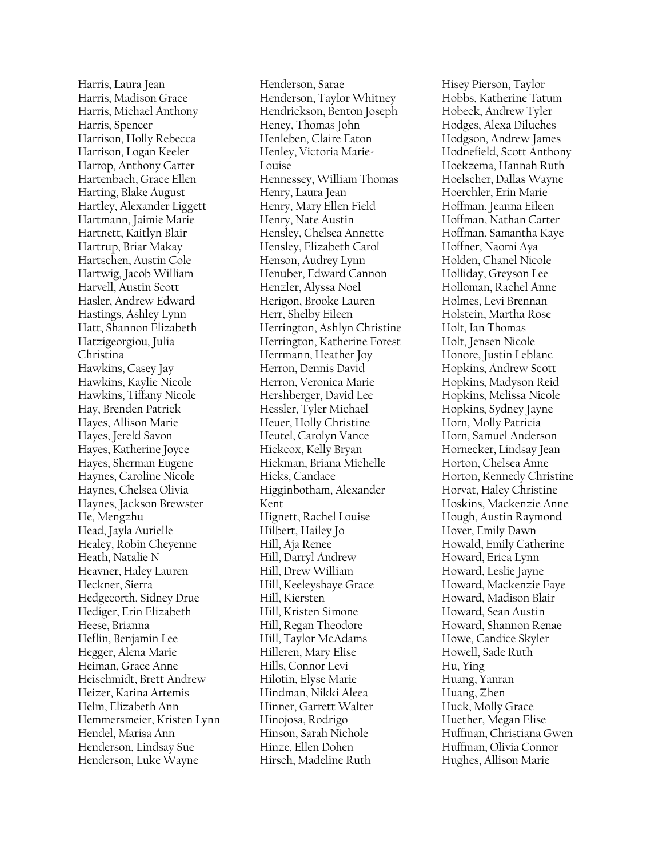Harris, Laura Jean Harris, Madison Grace Harris, Michael Anthony Harris, Spencer Harrison, Holly Rebecca Harrison, Logan Keeler Harrop, Anthony Carter Hartenbach, Grace Ellen Harting, Blake August Hartley, Alexander Liggett Hartmann, Jaimie Marie Hartnett, Kaitlyn Blair Hartrup, Briar Makay Hartschen, Austin Cole Hartwig, Jacob William Harvell, Austin Scott Hasler, Andrew Edward Hastings, Ashley Lynn Hatt, Shannon Elizabeth Hatzigeorgiou, Julia Christina Hawkins, Casey Jay Hawkins, Kaylie Nicole Hawkins, Tiffany Nicole Hay, Brenden Patrick Hayes, Allison Marie Hayes, Jereld Savon Hayes, Katherine Joyce Hayes, Sherman Eugene Haynes, Caroline Nicole Haynes, Chelsea Olivia Haynes, Jackson Brewster He, Mengzhu Head, Jayla Aurielle Healey, Robin Cheyenne Heath, Natalie N Heavner, Haley Lauren Heckner, Sierra Hedgecorth, Sidney Drue Hediger, Erin Elizabeth Heese, Brianna Heflin, Benjamin Lee Hegger, Alena Marie Heiman, Grace Anne Heischmidt, Brett Andrew Heizer, Karina Artemis Helm, Elizabeth Ann Hemmersmeier, Kristen Lynn Hendel, Marisa Ann Henderson, Lindsay Sue Henderson, Luke Wayne

Henderson, Sarae Henderson, Taylor Whitney Hendrickson, Benton Joseph Heney, Thomas John Henleben, Claire Eaton Henley, Victoria Marie-Louise Hennessey, William Thomas Henry, Laura Jean Henry, Mary Ellen Field Henry, Nate Austin Hensley, Chelsea Annette Hensley, Elizabeth Carol Henson, Audrey Lynn Henuber, Edward Cannon Henzler, Alyssa Noel Herigon, Brooke Lauren Herr, Shelby Eileen Herrington, Ashlyn Christine Herrington, Katherine Forest Herrmann, Heather Joy Herron, Dennis David Herron, Veronica Marie Hershberger, David Lee Hessler, Tyler Michael Heuer, Holly Christine Heutel, Carolyn Vance Hickcox, Kelly Bryan Hickman, Briana Michelle Hicks, Candace Higginbotham, Alexander Kent Hignett, Rachel Louise Hilbert, Hailey Jo Hill, Aja Renee Hill, Darryl Andrew Hill, Drew William Hill, Keeleyshaye Grace Hill, Kiersten Hill, Kristen Simone Hill, Regan Theodore Hill, Taylor McAdams Hilleren, Mary Elise Hills, Connor Levi Hilotin, Elyse Marie Hindman, Nikki Aleea Hinner, Garrett Walter Hinojosa, Rodrigo Hinson, Sarah Nichole Hinze, Ellen Dohen Hirsch, Madeline Ruth

Hisey Pierson, Taylor Hobbs, Katherine Tatum Hobeck, Andrew Tyler Hodges, Alexa Diluches Hodgson, Andrew James Hodnefield, Scott Anthony Hoekzema, Hannah Ruth Hoelscher, Dallas Wayne Hoerchler, Erin Marie Hoffman, Jeanna Eileen Hoffman, Nathan Carter Hoffman, Samantha Kaye Hoffner, Naomi Aya Holden, Chanel Nicole Holliday, Greyson Lee Holloman, Rachel Anne Holmes, Levi Brennan Holstein, Martha Rose Holt, Ian Thomas Holt, Jensen Nicole Honore, Justin Leblanc Hopkins, Andrew Scott Hopkins, Madyson Reid Hopkins, Melissa Nicole Hopkins, Sydney Jayne Horn, Molly Patricia Horn, Samuel Anderson Hornecker, Lindsay Jean Horton, Chelsea Anne Horton, Kennedy Christine Horvat, Haley Christine Hoskins, Mackenzie Anne Hough, Austin Raymond Hover, Emily Dawn Howald, Emily Catherine Howard, Erica Lynn Howard, Leslie Jayne Howard, Mackenzie Faye Howard, Madison Blair Howard, Sean Austin Howard, Shannon Renae Howe, Candice Skyler Howell, Sade Ruth Hu, Ying Huang, Yanran Huang, Zhen Huck, Molly Grace Huether, Megan Elise Huffman, Christiana Gwen Huffman, Olivia Connor Hughes, Allison Marie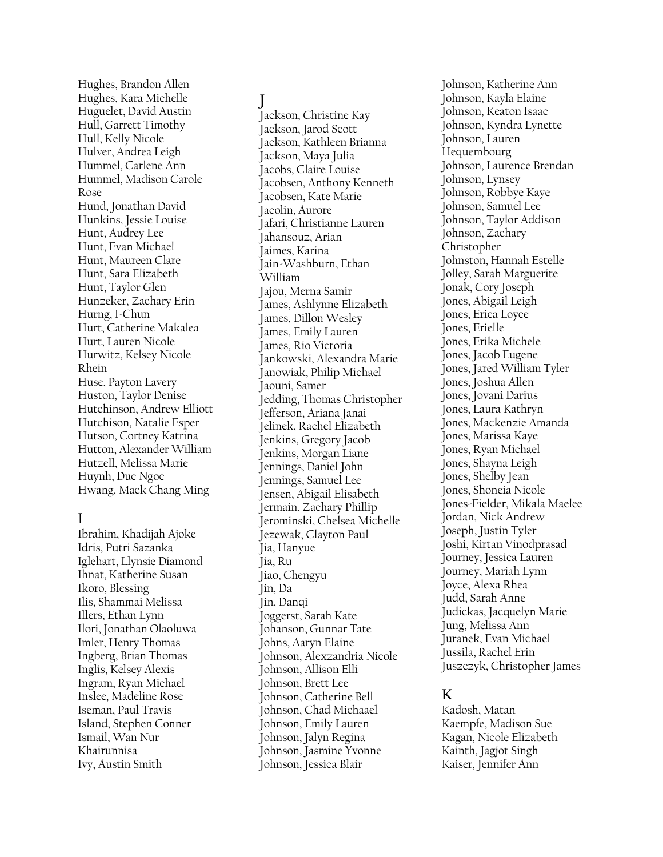Hughes, Brandon Allen Hughes, Kara Michelle Huguelet, David Austin Hull, Garrett Timothy Hull, Kelly Nicole Hulver, Andrea Leigh Hummel, Carlene Ann Hummel, Madison Carole Rose Hund, Jonathan David Hunkins, Jessie Louise Hunt, Audrey Lee Hunt, Evan Michael Hunt, Maureen Clare Hunt, Sara Elizabeth Hunt, Taylor Glen Hunzeker, Zachary Erin Hurng, I-Chun Hurt, Catherine Makalea Hurt, Lauren Nicole Hurwitz, Kelsey Nicole Rhein Huse, Payton Lavery Huston, Taylor Denise Hutchinson, Andrew Elliott Hutchison, Natalie Esper Hutson, Cortney Katrina Hutton, Alexander William Hutzell, Melissa Marie Huynh, Duc Ngoc Hwang, Mack Chang Ming

#### I

Ibrahim, Khadijah Ajoke Idris, Putri Sazanka Iglehart, Llynsie Diamond Ihnat, Katherine Susan Ikoro, Blessing Ilis, Shammai Melissa Illers, Ethan Lynn Ilori, Jonathan Olaoluwa Imler, Henry Thomas Ingberg, Brian Thomas Inglis, Kelsey Alexis Ingram, Ryan Michael Inslee, Madeline Rose Iseman, Paul Travis Island, Stephen Conner Ismail, Wan Nur Khairunnisa Ivy, Austin Smith

# **J**

Jackson, Christine Kay Jackson, Jarod Scott Jackson, Kathleen Brianna Jackson, Maya Julia Jacobs, Claire Louise Jacobsen, Anthony Kenneth Jacobsen, Kate Marie Jacolin, Aurore Jafari, Christianne Lauren Jahansouz, Arian Jaimes, Karina Jain-Washburn, Ethan William Jajou, Merna Samir James, Ashlynne Elizabeth James, Dillon Wesley James, Emily Lauren James, Rio Victoria Jankowski, Alexandra Marie Janowiak, Philip Michael Jaouni, Samer Jedding, Thomas Christopher Jefferson, Ariana Janai Jelinek, Rachel Elizabeth Jenkins, Gregory Jacob Jenkins, Morgan Liane Jennings, Daniel John Jennings, Samuel Lee Jensen, Abigail Elisabeth Jermain, Zachary Phillip Jerominski, Chelsea Michelle Jezewak, Clayton Paul Jia, Hanyue Jia, Ru Jiao, Chengyu Jin, Da Jin, Danqi Joggerst, Sarah Kate Johanson, Gunnar Tate Johns, Aaryn Elaine Johnson, Alexzandria Nicole Johnson, Allison Elli Johnson, Brett Lee Johnson, Catherine Bell Johnson, Chad Michaael Johnson, Emily Lauren Johnson, Jalyn Regina Johnson, Jasmine Yvonne Johnson, Jessica Blair

Johnson, Katherine Ann Johnson, Kayla Elaine Johnson, Keaton Isaac Johnson, Kyndra Lynette Johnson, Lauren Hequembourg Johnson, Laurence Brendan Johnson, Lynsey Johnson, Robbye Kaye Johnson, Samuel Lee Johnson, Taylor Addison Johnson, Zachary Christopher Johnston, Hannah Estelle Jolley, Sarah Marguerite Jonak, Cory Joseph Jones, Abigail Leigh Jones, Erica Loyce Jones, Erielle Jones, Erika Michele Jones, Jacob Eugene Jones, Jared William Tyler Jones, Joshua Allen Jones, Jovani Darius Jones, Laura Kathryn Jones, Mackenzie Amanda Jones, Marissa Kaye Jones, Ryan Michael Jones, Shayna Leigh Jones, Shelby Jean Jones, Shoneia Nicole Jones-Fielder, Mikala Maelee Jordan, Nick Andrew Joseph, Justin Tyler Joshi, Kirtan Vinodprasad Journey, Jessica Lauren Journey, Mariah Lynn Joyce, Alexa Rhea Judd, Sarah Anne Judickas, Jacquelyn Marie Jung, Melissa Ann Juranek, Evan Michael Jussila, Rachel Erin Juszczyk, Christopher James

# **K**

Kadosh, Matan Kaempfe, Madison Sue Kagan, Nicole Elizabeth Kainth, Jagjot Singh Kaiser, Jennifer Ann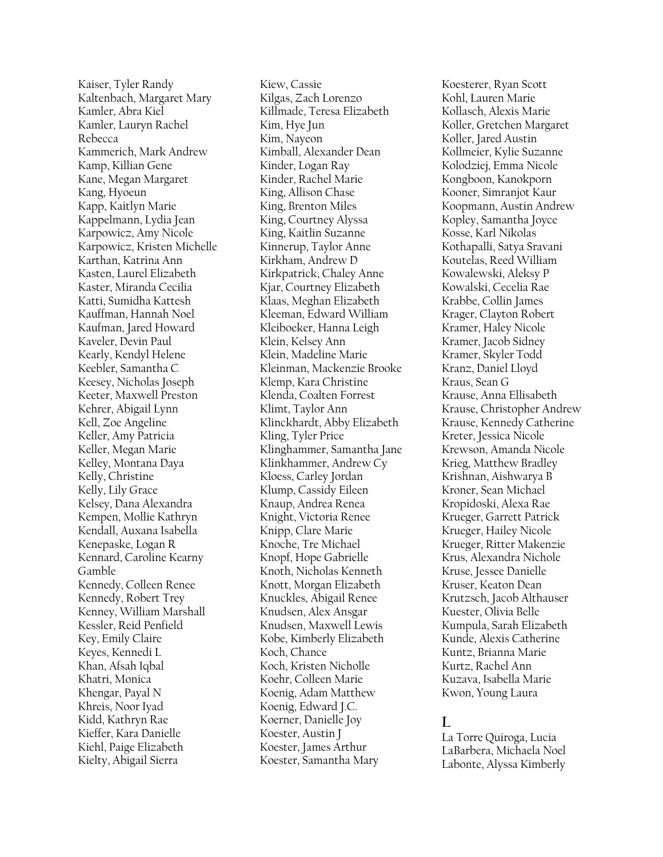Kaiser, Tyler Randy Kaltenbach, Margaret Mary Kamler, Abra Kiel Kamler, Lauryn Rachel Rebecca Kammerich, Mark Andrew Kamp, Killian Gene Kane, Megan Margaret Kang, Hyoeun Kapp, Kaitlyn Marie Kappelmann, Lydia Jean Karpowicz, Amy Nicole Karpowicz, Kristen Michelle Karthan, Katrina Ann Kasten, Laurel Elizabeth Kaster, Miranda Cecilia Katti, Sumidha Kattesh Kauffman, Hannah Noel Kaufman, Jared Howard Kaveler, Devin Paul Kearly, Kendyl Helene Keebler, Samantha C Keesey, Nicholas Joseph Keeter, Maxwell Preston Kehrer, Abigail Lynn Kell, Zoe Angeline Keller, Amy Patricia Keller, Megan Marie Kelley, Montana Daya Kelly, Christine Kelly, Lily Grace Kelsey, Dana Alexandra Kempen, Mollie Kathryn Kendall, Auxana Isabella Kenepaske, Logan R Kennard, Caroline Kearny Gamble Kennedy, Colleen Renee Kennedy, Robert Trey Kenney, William Marshall Kessler, Reid Penfield Key, Emily Claire Keyes, Kennedi L Khan, Afsah Iqbal Khatri, Monica Khengar, Payal N Khreis, Noor Iyad Kidd, Kathryn Rae Kieffer, Kara Danielle Kiehl, Paige Elizabeth Kielty, Abigail Sierra

Kiew, Cassie Kilgas, Zach Lorenzo Killmade, Teresa Elizabeth Kim, Hye Jun Kim, Nayeon Kimball, Alexander Dean Kinder, Logan Ray Kinder, Rachel Marie King, Allison Chase King, Brenton Miles King, Courtney Alyssa King, Kaitlin Suzanne Kinnerup, Taylor Anne Kirkham, Andrew D Kirkpatrick, Chaley Anne Kjar, Courtney Elizabeth Klaas, Meghan Elizabeth Kleeman, Edward William Kleiboeker, Hanna Leigh Klein, Kelsey Ann Klein, Madeline Marie Kleinman, Mackenzie Brooke Klemp, Kara Christine Klenda, Coalten Forrest Klimt, Taylor Ann Klinckhardt, Abby Elizabeth Kling, Tyler Price Klinghammer, Samantha Jane Klinkhammer, Andrew Cy Kloess, Carley Jordan Klump, Cassidy Eileen Knaup, Andrea Renea Knight, Victoria Renee Knipp, Clare Marie Knoche, Tre Michael Knopf, Hope Gabrielle Knoth, Nicholas Kenneth Knott, Morgan Elizabeth Knuckles, Abigail Renee Knudsen, Alex Ansgar Knudsen, Maxwell Lewis Kobe, Kimberly Elizabeth Koch, Chance Koch, Kristen Nicholle Koehr, Colleen Marie Koenig, Adam Matthew Koenig, Edward J.C. Koerner, Danielle Joy Koester, Austin J Koester, James Arthur Koester, Samantha Mary

Koesterer, Ryan Scott Kohl, Lauren Marie Kollasch, Alexis Marie Koller, Gretchen Margaret Koller, Jared Austin Kollmeier, Kylie Suzanne Kolodziej, Emma Nicole Kongboon, Kanokporn Kooner, Simranjot Kaur Koopmann, Austin Andrew Kopley, Samantha Joyce Kosse, Karl Nikolas Kothapalli, Satya Sravani Koutelas, Reed William Kowalewski, Aleksy P Kowalski, Cecelia Rae Krabbe, Collin James Krager, Clayton Robert Kramer, Haley Nicole Kramer, Jacob Sidney Kramer, Skyler Todd Kranz, Daniel Lloyd Kraus, Sean G Krause, Anna Ellisabeth Krause, Christopher Andrew Krause, Kennedy Catherine Kreter, Jessica Nicole Krewson, Amanda Nicole Krieg, Matthew Bradley Krishnan, Aishwarya B Kroner, Sean Michael Kropidoski, Alexa Rae Krueger, Garrett Patrick Krueger, Hailey Nicole Krueger, Ritter Makenzie Krus, Alexandra Nichole Kruse, Jessee Danielle Kruser, Keaton Dean Krutzsch, Jacob Althauser Kuester, Olivia Belle Kumpula, Sarah Elizabeth Kunde, Alexis Catherine Kuntz, Brianna Marie Kurtz, Rachel Ann Kuzava, Isabella Marie Kwon, Young Laura

### $\mathbf{L}$

La Torre Quiroga, Lucia LaBarbera, Michaela Noel Labonte, Alyssa Kimberly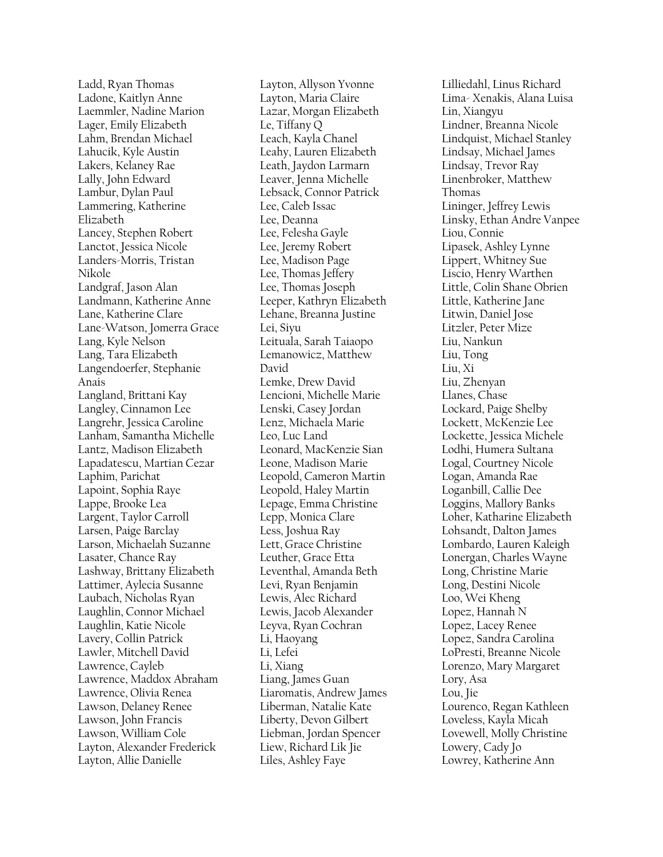Ladd, Ryan Thomas Ladone, Kaitlyn Anne Laemmler, Nadine Marion Lager, Emily Elizabeth Lahm, Brendan Michael Lahucik, Kyle Austin Lakers, Kelaney Rae Lally, John Edward Lambur, Dylan Paul Lammering, Katherine Elizabeth Lancey, Stephen Robert Lanctot, Jessica Nicole Landers-Morris, Tristan Nikole Landgraf, Jason Alan Landmann, Katherine Anne Lane, Katherine Clare Lane-Watson, Jomerra Grace Lang, Kyle Nelson Lang, Tara Elizabeth Langendoerfer, Stephanie Anais Langland, Brittani Kay Langley, Cinnamon Lee Langrehr, Jessica Caroline Lanham, Samantha Michelle Lantz, Madison Elizabeth Lapadatescu, Martian Cezar Laphim, Parichat Lapoint, Sophia Raye Lappe, Brooke Lea Largent, Taylor Carroll Larsen, Paige Barclay Larson, Michaelah Suzanne Lasater, Chance Ray Lashway, Brittany Elizabeth Lattimer, Aylecia Susanne Laubach, Nicholas Ryan Laughlin, Connor Michael Laughlin, Katie Nicole Lavery, Collin Patrick Lawler, Mitchell David Lawrence, Cayleb Lawrence, Maddox Abraham Lawrence, Olivia Renea Lawson, Delaney Renee Lawson, John Francis Lawson, William Cole Layton, Alexander Frederick Layton, Allie Danielle

Layton, Allyson Yvonne Layton, Maria Claire Lazar, Morgan Elizabeth Le, Tiffany Q Leach, Kayla Chanel Leahy, Lauren Elizabeth Leath, Jaydon Larmarn Leaver, Jenna Michelle Lebsack, Connor Patrick Lee, Caleb Issac Lee, Deanna Lee, Felesha Gayle Lee, Jeremy Robert Lee, Madison Page Lee, Thomas Jeffery Lee, Thomas Joseph Leeper, Kathryn Elizabeth Lehane, Breanna Justine Lei, Siyu Leituala, Sarah Taiaopo Lemanowicz, Matthew David Lemke, Drew David Lencioni, Michelle Marie Lenski, Casey Jordan Lenz, Michaela Marie Leo, Luc Land Leonard, MacKenzie Sian Leone, Madison Marie Leopold, Cameron Martin Leopold, Haley Martin Lepage, Emma Christine Lepp, Monica Clare Less, Joshua Ray Lett, Grace Christine Leuther, Grace Etta Leventhal, Amanda Beth Levi, Ryan Benjamin Lewis, Alec Richard Lewis, Jacob Alexander Leyva, Ryan Cochran Li, Haoyang Li, Lefei Li, Xiang Liang, James Guan Liaromatis, Andrew James Liberman, Natalie Kate Liberty, Devon Gilbert Liebman, Jordan Spencer Liew, Richard Lik Jie Liles, Ashley Faye

Lilliedahl, Linus Richard Lima- Xenakis, Alana Luisa Lin, Xiangyu Lindner, Breanna Nicole Lindquist, Michael Stanley Lindsay, Michael James Lindsay, Trevor Ray Linenbroker, Matthew Thomas Lininger, Jeffrey Lewis Linsky, Ethan Andre Vanpee Liou, Connie Lipasek, Ashley Lynne Lippert, Whitney Sue Liscio, Henry Warthen Little, Colin Shane Obrien Little, Katherine Jane Litwin, Daniel Jose Litzler, Peter Mize Liu, Nankun Liu, Tong Liu, Xi Liu, Zhenyan Llanes, Chase Lockard, Paige Shelby Lockett, McKenzie Lee Lockette, Jessica Michele Lodhi, Humera Sultana Logal, Courtney Nicole Logan, Amanda Rae Loganbill, Callie Dee Loggins, Mallory Banks Loher, Katharine Elizabeth Lohsandt, Dalton James Lombardo, Lauren Kaleigh Lonergan, Charles Wayne Long, Christine Marie Long, Destini Nicole Loo, Wei Kheng Lopez, Hannah N Lopez, Lacey Renee Lopez, Sandra Carolina LoPresti, Breanne Nicole Lorenzo, Mary Margaret Lory, Asa Lou, Jie Lourenco, Regan Kathleen Loveless, Kayla Micah Lovewell, Molly Christine Lowery, Cady Jo Lowrey, Katherine Ann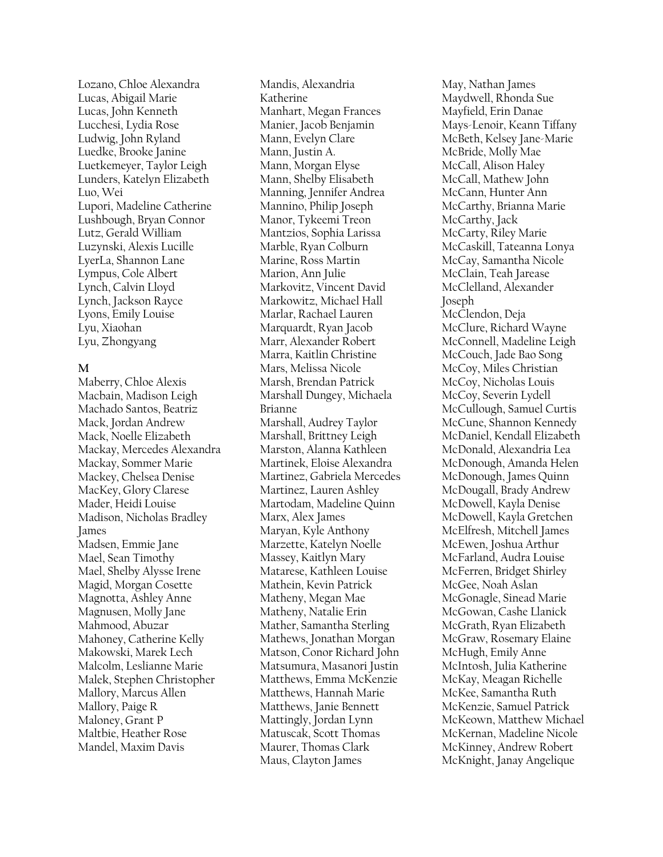Lozano, Chloe Alexandra Lucas, Abigail Marie Lucas, John Kenneth Lucchesi, Lydia Rose Ludwig, John Ryland Luedke, Brooke Janine Luetkemeyer, Taylor Leigh Lunders, Katelyn Elizabeth Luo, Wei Lupori, Madeline Catherine Lushbough, Bryan Connor Lutz, Gerald William Luzynski, Alexis Lucille LyerLa, Shannon Lane Lympus, Cole Albert Lynch, Calvin Lloyd Lynch, Jackson Rayce Lyons, Emily Louise Lyu, Xiaohan Lyu, Zhongyang

#### **M**

Maberry, Chloe Alexis Macbain, Madison Leigh Machado Santos, Beatriz Mack, Jordan Andrew Mack, Noelle Elizabeth Mackay, Mercedes Alexandra Mackay, Sommer Marie Mackey, Chelsea Denise MacKey, Glory Clarese Mader, Heidi Louise Madison, Nicholas Bradley James Madsen, Emmie Jane Mael, Sean Timothy Mael, Shelby Alysse Irene Magid, Morgan Cosette Magnotta, Ashley Anne Magnusen, Molly Jane Mahmood, Abuzar Mahoney, Catherine Kelly Makowski, Marek Lech Malcolm, Leslianne Marie Malek, Stephen Christopher Mallory, Marcus Allen Mallory, Paige R Maloney, Grant P Maltbie, Heather Rose Mandel, Maxim Davis

Mandis, Alexandria Katherine Manhart, Megan Frances Manier, Jacob Benjamin Mann, Evelyn Clare Mann, Justin A. Mann, Morgan Elyse Mann, Shelby Elisabeth Manning, Jennifer Andrea Mannino, Philip Joseph Manor, Tykeemi Treon Mantzios, Sophia Larissa Marble, Ryan Colburn Marine, Ross Martin Marion, Ann Julie Markovitz, Vincent David Markowitz, Michael Hall Marlar, Rachael Lauren Marquardt, Ryan Jacob Marr, Alexander Robert Marra, Kaitlin Christine Mars, Melissa Nicole Marsh, Brendan Patrick Marshall Dungey, Michaela Brianne Marshall, Audrey Taylor Marshall, Brittney Leigh Marston, Alanna Kathleen Martinek, Eloise Alexandra Martinez, Gabriela Mercedes Martinez, Lauren Ashley Martodam, Madeline Quinn Marx, Alex James Maryan, Kyle Anthony Marzette, Katelyn Noelle Massey, Kaitlyn Mary Matarese, Kathleen Louise Mathein, Kevin Patrick Matheny, Megan Mae Matheny, Natalie Erin Mather, Samantha Sterling Mathews, Jonathan Morgan Matson, Conor Richard John Matsumura, Masanori Justin Matthews, Emma McKenzie Matthews, Hannah Marie Matthews, Janie Bennett Mattingly, Jordan Lynn Matuscak, Scott Thomas Maurer, Thomas Clark Maus, Clayton James

May, Nathan James Maydwell, Rhonda Sue Mayfield, Erin Danae Mays-Lenoir, Keann Tiffany McBeth, Kelsey Jane-Marie McBride, Molly Mae McCall, Alison Haley McCall, Mathew John McCann, Hunter Ann McCarthy, Brianna Marie McCarthy, Jack McCarty, Riley Marie McCaskill, Tateanna Lonya McCay, Samantha Nicole McClain, Teah Jarease McClelland, Alexander Joseph McClendon, Deja McClure, Richard Wayne McConnell, Madeline Leigh McCouch, Jade Bao Song McCoy, Miles Christian McCoy, Nicholas Louis McCoy, Severin Lydell McCullough, Samuel Curtis McCune, Shannon Kennedy McDaniel, Kendall Elizabeth McDonald, Alexandria Lea McDonough, Amanda Helen McDonough, James Quinn McDougall, Brady Andrew McDowell, Kayla Denise McDowell, Kayla Gretchen McElfresh, Mitchell James McEwen, Joshua Arthur McFarland, Audra Louise McFerren, Bridget Shirley McGee, Noah Aslan McGonagle, Sinead Marie McGowan, Cashe Llanick McGrath, Ryan Elizabeth McGraw, Rosemary Elaine McHugh, Emily Anne McIntosh, Julia Katherine McKay, Meagan Richelle McKee, Samantha Ruth McKenzie, Samuel Patrick McKeown, Matthew Michael McKernan, Madeline Nicole McKinney, Andrew Robert McKnight, Janay Angelique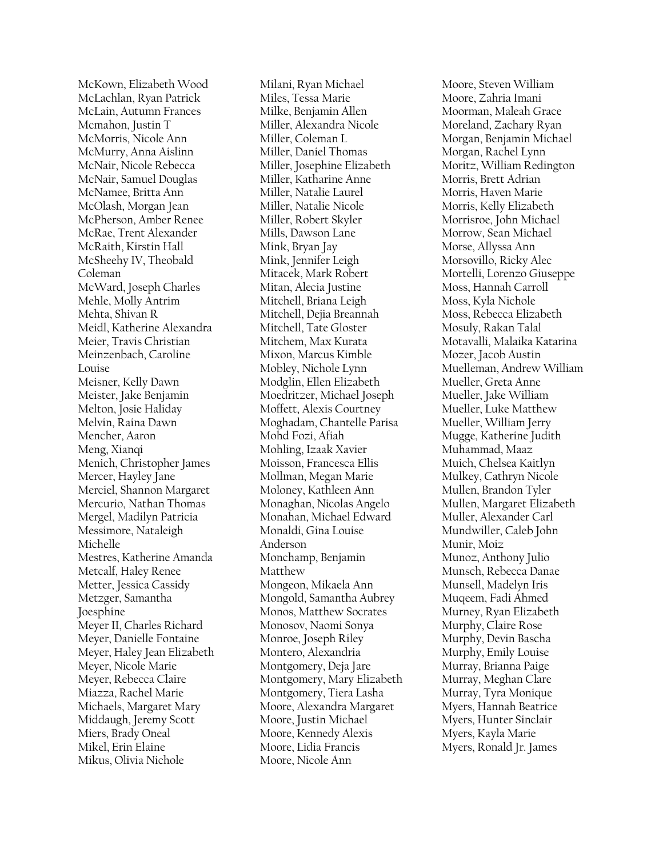McKown, Elizabeth Wood McLachlan, Ryan Patrick McLain, Autumn Frances Mcmahon, Justin T McMorris, Nicole Ann McMurry, Anna Aislinn McNair, Nicole Rebecca McNair, Samuel Douglas McNamee, Britta Ann McOlash, Morgan Jean McPherson, Amber Renee McRae, Trent Alexander McRaith, Kirstin Hall McSheehy IV, Theobald Coleman McWard, Joseph Charles Mehle, Molly Antrim Mehta, Shivan R Meidl, Katherine Alexandra Meier, Travis Christian Meinzenbach, Caroline Louise Meisner, Kelly Dawn Meister, Jake Benjamin Melton, Josie Haliday Melvin, Raina Dawn Mencher, Aaron Meng, Xianqi Menich, Christopher James Mercer, Hayley Jane Merciel, Shannon Margaret Mercurio, Nathan Thomas Mergel, Madilyn Patricia Messimore, Nataleigh Michelle Mestres, Katherine Amanda Metcalf, Haley Renee Metter, Jessica Cassidy Metzger, Samantha Joesphine Meyer II, Charles Richard Meyer, Danielle Fontaine Meyer, Haley Jean Elizabeth Meyer, Nicole Marie Meyer, Rebecca Claire Miazza, Rachel Marie Michaels, Margaret Mary Middaugh, Jeremy Scott Miers, Brady Oneal Mikel, Erin Elaine Mikus, Olivia Nichole

Milani, Ryan Michael Miles, Tessa Marie Milke, Benjamin Allen Miller, Alexandra Nicole Miller, Coleman L Miller, Daniel Thomas Miller, Josephine Elizabeth Miller, Katharine Anne Miller, Natalie Laurel Miller, Natalie Nicole Miller, Robert Skyler Mills, Dawson Lane Mink, Bryan Jay Mink, Jennifer Leigh Mitacek, Mark Robert Mitan, Alecia Justine Mitchell, Briana Leigh Mitchell, Dejia Breannah Mitchell, Tate Gloster Mitchem, Max Kurata Mixon, Marcus Kimble Mobley, Nichole Lynn Modglin, Ellen Elizabeth Moedritzer, Michael Joseph Moffett, Alexis Courtney Moghadam, Chantelle Parisa Mohd Fozi, Afiah Mohling, Izaak Xavier Moisson, Francesca Ellis Mollman, Megan Marie Moloney, Kathleen Ann Monaghan, Nicolas Angelo Monahan, Michael Edward Monaldi, Gina Louise Anderson Monchamp, Benjamin Matthew Mongeon, Mikaela Ann Mongold, Samantha Aubrey Monos, Matthew Socrates Monosov, Naomi Sonya Monroe, Joseph Riley Montero, Alexandria Montgomery, Deja Jare Montgomery, Mary Elizabeth Montgomery, Tiera Lasha Moore, Alexandra Margaret Moore, Justin Michael Moore, Kennedy Alexis Moore, Lidia Francis Moore, Nicole Ann

Moore, Steven William Moore, Zahria Imani Moorman, Maleah Grace Moreland, Zachary Ryan Morgan, Benjamin Michael Morgan, Rachel Lynn Moritz, William Redington Morris, Brett Adrian Morris, Haven Marie Morris, Kelly Elizabeth Morrisroe, John Michael Morrow, Sean Michael Morse, Allyssa Ann Morsovillo, Ricky Alec Mortelli, Lorenzo Giuseppe Moss, Hannah Carroll Moss, Kyla Nichole Moss, Rebecca Elizabeth Mosuly, Rakan Talal Motavalli, Malaika Katarina Mozer, Jacob Austin Muelleman, Andrew William Mueller, Greta Anne Mueller, Jake William Mueller, Luke Matthew Mueller, William Jerry Mugge, Katherine Judith Muhammad, Maaz Muich, Chelsea Kaitlyn Mulkey, Cathryn Nicole Mullen, Brandon Tyler Mullen, Margaret Elizabeth Muller, Alexander Carl Mundwiller, Caleb John Munir, Moiz Munoz, Anthony Julio Munsch, Rebecca Danae Munsell, Madelyn Iris Muqeem, Fadi Ahmed Murney, Ryan Elizabeth Murphy, Claire Rose Murphy, Devin Bascha Murphy, Emily Louise Murray, Brianna Paige Murray, Meghan Clare Murray, Tyra Monique Myers, Hannah Beatrice Myers, Hunter Sinclair Myers, Kayla Marie Myers, Ronald Jr. James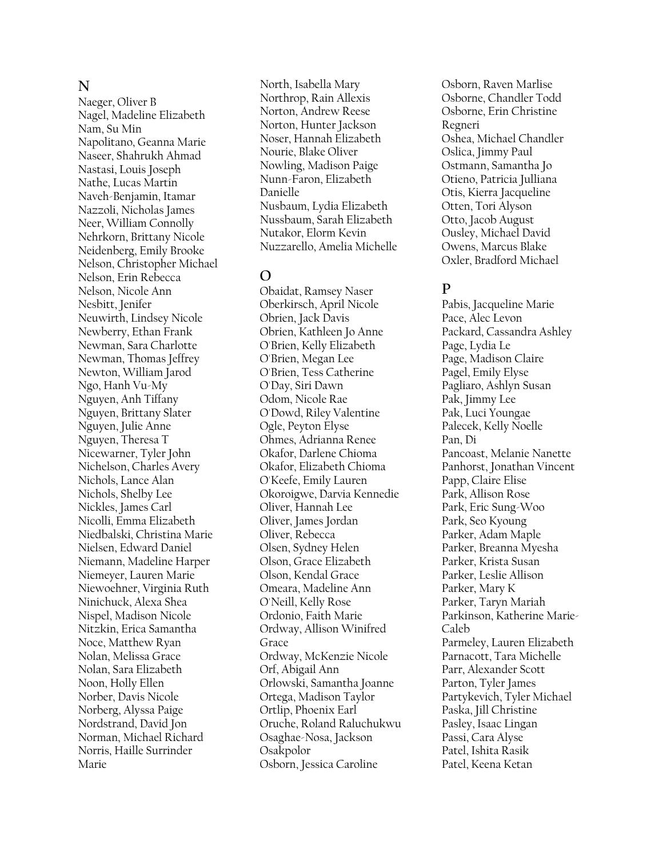### **N**

Naeger, Oliver B Nagel, Madeline Elizabeth Nam, Su Min Napolitano, Geanna Marie Naseer, Shahrukh Ahmad Nastasi, Louis Joseph Nathe, Lucas Martin Naveh-Benjamin, Itamar Nazzoli, Nicholas James Neer, William Connolly Nehrkorn, Brittany Nicole Neidenberg, Emily Brooke Nelson, Christopher Michael Nelson, Erin Rebecca Nelson, Nicole Ann Nesbitt, Jenifer Neuwirth, Lindsey Nicole Newberry, Ethan Frank Newman, Sara Charlotte Newman, Thomas Jeffrey Newton, William Jarod Ngo, Hanh Vu-My Nguyen, Anh Tiffany Nguyen, Brittany Slater Nguyen, Julie Anne Nguyen, Theresa T Nicewarner, Tyler John Nichelson, Charles Avery Nichols, Lance Alan Nichols, Shelby Lee Nickles, James Carl Nicolli, Emma Elizabeth Niedbalski, Christina Marie Nielsen, Edward Daniel Niemann, Madeline Harper Niemeyer, Lauren Marie Niewoehner, Virginia Ruth Ninichuck, Alexa Shea Nispel, Madison Nicole Nitzkin, Erica Samantha Noce, Matthew Ryan Nolan, Melissa Grace Nolan, Sara Elizabeth Noon, Holly Ellen Norber, Davis Nicole Norberg, Alyssa Paige Nordstrand, David Jon Norman, Michael Richard Norris, Haille Surrinder Marie

North, Isabella Mary Northrop, Rain Allexis Norton, Andrew Reese Norton, Hunter Jackson Noser, Hannah Elizabeth Nourie, Blake Oliver Nowling, Madison Paige Nunn-Faron, Elizabeth Danielle Nusbaum, Lydia Elizabeth Nussbaum, Sarah Elizabeth Nutakor, Elorm Kevin Nuzzarello, Amelia Michelle

# **O**

Obaidat, Ramsey Naser Oberkirsch, April Nicole Obrien, Jack Davis Obrien, Kathleen Jo Anne O'Brien, Kelly Elizabeth O'Brien, Megan Lee O'Brien, Tess Catherine O'Day, Siri Dawn Odom, Nicole Rae O'Dowd, Riley Valentine Ogle, Peyton Elyse Ohmes, Adrianna Renee Okafor, Darlene Chioma Okafor, Elizabeth Chioma O'Keefe, Emily Lauren Okoroigwe, Darvia Kennedie Oliver, Hannah Lee Oliver, James Jordan Oliver, Rebecca Olsen, Sydney Helen Olson, Grace Elizabeth Olson, Kendal Grace Omeara, Madeline Ann O'Neill, Kelly Rose Ordonio, Faith Marie Ordway, Allison Winifred Grace Ordway, McKenzie Nicole Orf, Abigail Ann Orlowski, Samantha Joanne Ortega, Madison Taylor Ortlip, Phoenix Earl Oruche, Roland Raluchukwu Osaghae-Nosa, Jackson Osakpolor Osborn, Jessica Caroline

Osborn, Raven Marlise Osborne, Chandler Todd Osborne, Erin Christine Regneri Oshea, Michael Chandler Oslica, Jimmy Paul Ostmann, Samantha Jo Otieno, Patricia Julliana Otis, Kierra Jacqueline Otten, Tori Alyson Otto, Jacob August Ousley, Michael David Owens, Marcus Blake Oxler, Bradford Michael

# **P**

Pabis, Jacqueline Marie Pace, Alec Levon Packard, Cassandra Ashley Page, Lydia Le Page, Madison Claire Pagel, Emily Elyse Pagliaro, Ashlyn Susan Pak, Jimmy Lee Pak, Luci Youngae Palecek, Kelly Noelle Pan, Di Pancoast, Melanie Nanette Panhorst, Jonathan Vincent Papp, Claire Elise Park, Allison Rose Park, Eric Sung-Woo Park, Seo Kyoung Parker, Adam Maple Parker, Breanna Myesha Parker, Krista Susan Parker, Leslie Allison Parker, Mary K Parker, Taryn Mariah Parkinson, Katherine Marie-Caleb Parmeley, Lauren Elizabeth Parnacott, Tara Michelle Parr, Alexander Scott Parton, Tyler James Partykevich, Tyler Michael Paska, Jill Christine Pasley, Isaac Lingan Passi, Cara Alyse Patel, Ishita Rasik Patel, Keena Ketan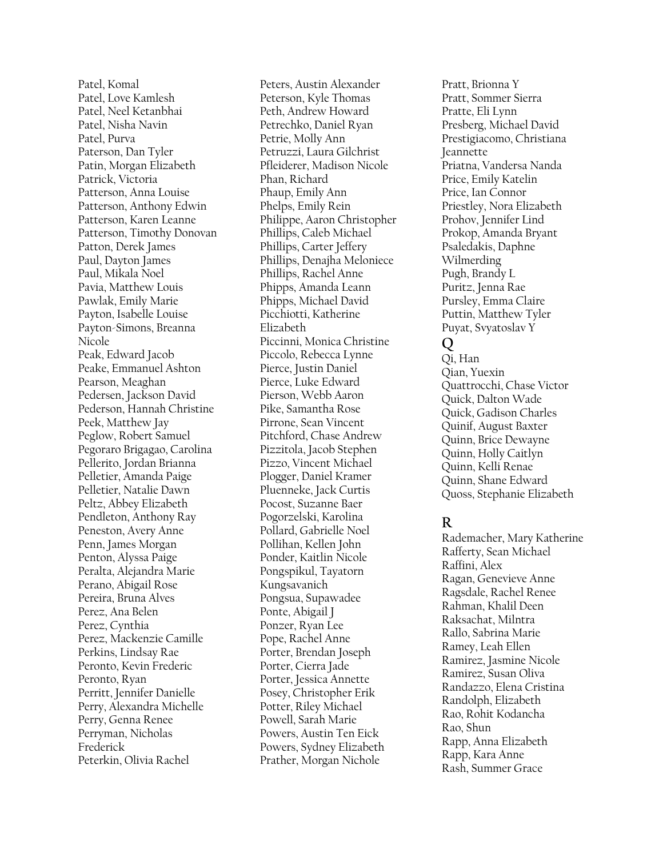Patel, Komal Patel, Love Kamlesh Patel, Neel Ketanbhai Patel, Nisha Navin Patel, Purva Paterson, Dan Tyler Patin, Morgan Elizabeth Patrick, Victoria Patterson, Anna Louise Patterson, Anthony Edwin Patterson, Karen Leanne Patterson, Timothy Donovan Patton, Derek James Paul, Dayton James Paul, Mikala Noel Pavia, Matthew Louis Pawlak, Emily Marie Payton, Isabelle Louise Payton-Simons, Breanna Nicole Peak, Edward Jacob Peake, Emmanuel Ashton Pearson, Meaghan Pedersen, Jackson David Pederson, Hannah Christine Peek, Matthew Jay Peglow, Robert Samuel Pegoraro Brigagao, Carolina Pellerito, Jordan Brianna Pelletier, Amanda Paige Pelletier, Natalie Dawn Peltz, Abbey Elizabeth Pendleton, Anthony Ray Peneston, Avery Anne Penn, James Morgan Penton, Alyssa Paige Peralta, Alejandra Marie Perano, Abigail Rose Pereira, Bruna Alves Perez, Ana Belen Perez, Cynthia Perez, Mackenzie Camille Perkins, Lindsay Rae Peronto, Kevin Frederic Peronto, Ryan Perritt, Jennifer Danielle Perry, Alexandra Michelle Perry, Genna Renee Perryman, Nicholas Frederick Peterkin, Olivia Rachel

Peters, Austin Alexander Peterson, Kyle Thomas Peth, Andrew Howard Petrechko, Daniel Ryan Petrie, Molly Ann Petruzzi, Laura Gilchrist Pfleiderer, Madison Nicole Phan, Richard Phaup, Emily Ann Phelps, Emily Rein Philippe, Aaron Christopher Phillips, Caleb Michael Phillips, Carter Jeffery Phillips, Denajha Meloniece Phillips, Rachel Anne Phipps, Amanda Leann Phipps, Michael David Picchiotti, Katherine Elizabeth Piccinni, Monica Christine Piccolo, Rebecca Lynne Pierce, Justin Daniel Pierce, Luke Edward Pierson, Webb Aaron Pike, Samantha Rose Pirrone, Sean Vincent Pitchford, Chase Andrew Pizzitola, Jacob Stephen Pizzo, Vincent Michael Plogger, Daniel Kramer Pluenneke, Jack Curtis Pocost, Suzanne Baer Pogorzelski, Karolina Pollard, Gabrielle Noel Pollihan, Kellen John Ponder, Kaitlin Nicole Pongspikul, Tayatorn Kungsavanich Pongsua, Supawadee Ponte, Abigail J Ponzer, Ryan Lee Pope, Rachel Anne Porter, Brendan Joseph Porter, Cierra Jade Porter, Jessica Annette Posey, Christopher Erik Potter, Riley Michael Powell, Sarah Marie Powers, Austin Ten Eick Powers, Sydney Elizabeth Prather, Morgan Nichole

Pratt, Brionna Y Pratt, Sommer Sierra Pratte, Eli Lynn Presberg, Michael David Prestigiacomo, Christiana Jeannette Priatna, Vandersa Nanda Price, Emily Katelin Price, Ian Connor Priestley, Nora Elizabeth Prohov, Jennifer Lind Prokop, Amanda Bryant Psaledakis, Daphne Wilmerding Pugh, Brandy L Puritz, Jenna Rae Pursley, Emma Claire Puttin, Matthew Tyler Puyat, Svyatoslav Y **Q**

Qi, Han Qian, Yuexin Quattrocchi, Chase Victor Quick, Dalton Wade Quick, Gadison Charles Quinif, August Baxter Quinn, Brice Dewayne Quinn, Holly Caitlyn Quinn, Kelli Renae Quinn, Shane Edward Quoss, Stephanie Elizabeth

# **R**

Rademacher, Mary Katherine Rafferty, Sean Michael Raffini, Alex Ragan, Genevieve Anne Ragsdale, Rachel Renee Rahman, Khalil Deen Raksachat, Milntra Rallo, Sabrina Marie Ramey, Leah Ellen Ramirez, Jasmine Nicole Ramirez, Susan Oliva Randazzo, Elena Cristina Randolph, Elizabeth Rao, Rohit Kodancha Rao, Shun Rapp, Anna Elizabeth Rapp, Kara Anne Rash, Summer Grace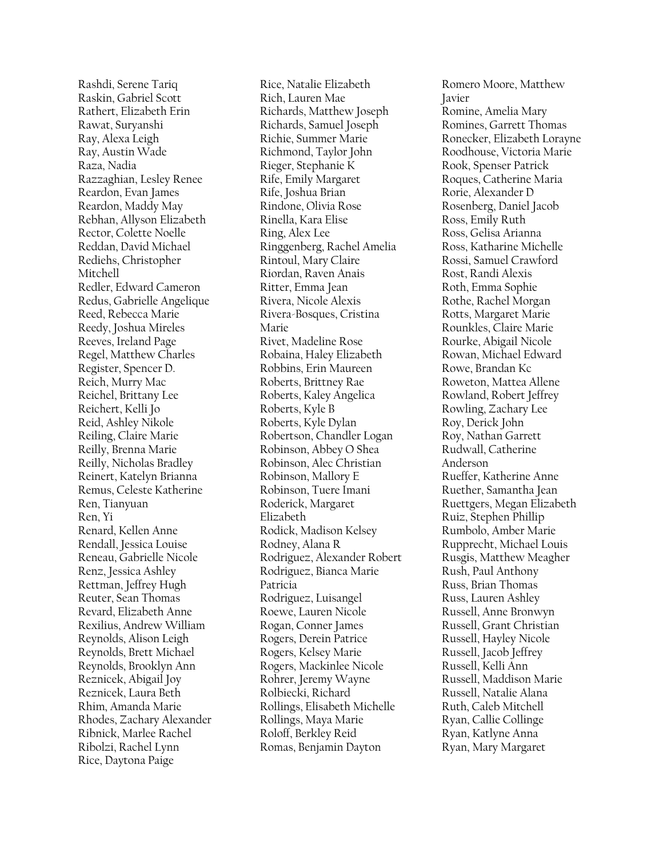Rashdi, Serene Tariq Raskin, Gabriel Scott Rathert, Elizabeth Erin Rawat, Suryanshi Ray, Alexa Leigh Ray, Austin Wade Raza, Nadia Razzaghian, Lesley Renee Reardon, Evan James Reardon, Maddy May Rebhan, Allyson Elizabeth Rector, Colette Noelle Reddan, David Michael Rediehs, Christopher Mitchell Redler, Edward Cameron Redus, Gabrielle Angelique Reed, Rebecca Marie Reedy, Joshua Mireles Reeves, Ireland Page Regel, Matthew Charles Register, Spencer D. Reich, Murry Mac Reichel, Brittany Lee Reichert, Kelli Jo Reid, Ashley Nikole Reiling, Claire Marie Reilly, Brenna Marie Reilly, Nicholas Bradley Reinert, Katelyn Brianna Remus, Celeste Katherine Ren, Tianyuan Ren, Yi Renard, Kellen Anne Rendall, Jessica Louise Reneau, Gabrielle Nicole Renz, Jessica Ashley Rettman, Jeffrey Hugh Reuter, Sean Thomas Revard, Elizabeth Anne Rexilius, Andrew William Reynolds, Alison Leigh Reynolds, Brett Michael Reynolds, Brooklyn Ann Reznicek, Abigail Joy Reznicek, Laura Beth Rhim, Amanda Marie Rhodes, Zachary Alexander Ribnick, Marlee Rachel Ribolzi, Rachel Lynn Rice, Daytona Paige

Rice, Natalie Elizabeth Rich, Lauren Mae Richards, Matthew Joseph Richards, Samuel Joseph Richie, Summer Marie Richmond, Taylor John Rieger, Stephanie K Rife, Emily Margaret Rife, Joshua Brian Rindone, Olivia Rose Rinella, Kara Elise Ring, Alex Lee Ringgenberg, Rachel Amelia Rintoul, Mary Claire Riordan, Raven Anais Ritter, Emma Jean Rivera, Nicole Alexis Rivera-Bosques, Cristina Marie Rivet, Madeline Rose Robaina, Haley Elizabeth Robbins, Erin Maureen Roberts, Brittney Rae Roberts, Kaley Angelica Roberts, Kyle B Roberts, Kyle Dylan Robertson, Chandler Logan Robinson, Abbey O Shea Robinson, Alec Christian Robinson, Mallory E Robinson, Tuere Imani Roderick, Margaret Elizabeth Rodick, Madison Kelsey Rodney, Alana R Rodriguez, Alexander Robert Rodriguez, Bianca Marie Patricia Rodriguez, Luisangel Roewe, Lauren Nicole Rogan, Conner James Rogers, Derein Patrice Rogers, Kelsey Marie Rogers, Mackinlee Nicole Rohrer, Jeremy Wayne Rolbiecki, Richard Rollings, Elisabeth Michelle Rollings, Maya Marie Roloff, Berkley Reid Romas, Benjamin Dayton

Romero Moore, Matthew Javier Romine, Amelia Mary Romines, Garrett Thomas Ronecker, Elizabeth Lorayne Roodhouse, Victoria Marie Rook, Spenser Patrick Roques, Catherine Maria Rorie, Alexander D Rosenberg, Daniel Jacob Ross, Emily Ruth Ross, Gelisa Arianna Ross, Katharine Michelle Rossi, Samuel Crawford Rost, Randi Alexis Roth, Emma Sophie Rothe, Rachel Morgan Rotts, Margaret Marie Rounkles, Claire Marie Rourke, Abigail Nicole Rowan, Michael Edward Rowe, Brandan Kc Roweton, Mattea Allene Rowland, Robert Jeffrey Rowling, Zachary Lee Roy, Derick John Roy, Nathan Garrett Rudwall, Catherine Anderson Rueffer, Katherine Anne Ruether, Samantha Jean Ruettgers, Megan Elizabeth Ruiz, Stephen Phillip Rumbolo, Amber Marie Rupprecht, Michael Louis Rusgis, Matthew Meagher Rush, Paul Anthony Russ, Brian Thomas Russ, Lauren Ashley Russell, Anne Bronwyn Russell, Grant Christian Russell, Hayley Nicole Russell, Jacob Jeffrey Russell, Kelli Ann Russell, Maddison Marie Russell, Natalie Alana Ruth, Caleb Mitchell Ryan, Callie Collinge Ryan, Katlyne Anna Ryan, Mary Margaret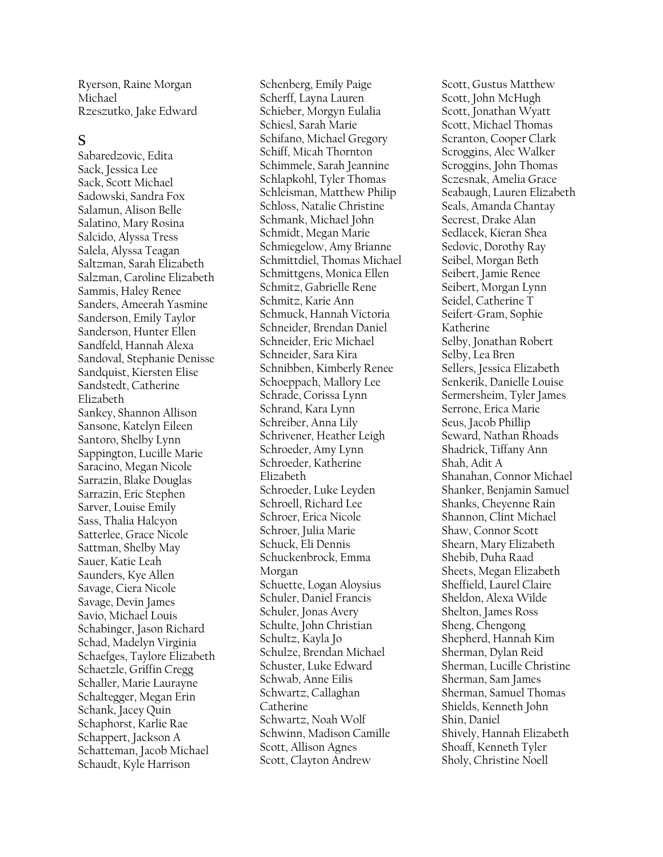Ryerson, Raine Morgan Michael Rzeszutko, Jake Edward

#### **S**

Sabaredzovic, Edita Sack, Jessica Lee Sack, Scott Michael Sadowski, Sandra Fox Salamun, Alison Belle Salatino, Mary Rosina Salcido, Alyssa Tress Salela, Alyssa Teagan Saltzman, Sarah Elizabeth Salzman, Caroline Elizabeth Sammis, Haley Renee Sanders, Ameerah Yasmine Sanderson, Emily Taylor Sanderson, Hunter Ellen Sandfeld, Hannah Alexa Sandoval, Stephanie Denisse Sandquist, Kiersten Elise Sandstedt, Catherine Elizabeth Sankey, Shannon Allison Sansone, Katelyn Eileen Santoro, Shelby Lynn Sappington, Lucille Marie Saracino, Megan Nicole Sarrazin, Blake Douglas Sarrazin, Eric Stephen Sarver, Louise Emily Sass, Thalia Halcyon Satterlee, Grace Nicole Sattman, Shelby May Sauer, Katie Leah Saunders, Kye Allen Savage, Ciera Nicole Savage, Devin James Savio, Michael Louis Schabinger, Jason Richard Schad, Madelyn Virginia Schaefges, Taylore Elizabeth Schaetzle, Griffin Cregg Schaller, Marie Laurayne Schaltegger, Megan Erin Schank, Jacey Quin Schaphorst, Karlie Rae Schappert, Jackson A Schatteman, Jacob Michael Schaudt, Kyle Harrison

Schenberg, Emily Paige Scherff, Layna Lauren Schieber, Morgyn Eulalia Schiesl, Sarah Marie Schifano, Michael Gregory Schiff, Micah Thornton Schimmele, Sarah Jeannine Schlapkohl, Tyler Thomas Schleisman, Matthew Philip Schloss, Natalie Christine Schmank, Michael John Schmidt, Megan Marie Schmiegelow, Amy Brianne Schmittdiel, Thomas Michael Schmittgens, Monica Ellen Schmitz, Gabrielle Rene Schmitz, Karie Ann Schmuck, Hannah Victoria Schneider, Brendan Daniel Schneider, Eric Michael Schneider, Sara Kira Schnibben, Kimberly Renee Schoeppach, Mallory Lee Schrade, Corissa Lynn Schrand, Kara Lynn Schreiber, Anna Lily Schrivener, Heather Leigh Schroeder, Amy Lynn Schroeder, Katherine Elizabeth Schroeder, Luke Leyden Schroell, Richard Lee Schroer, Erica Nicole Schroer, Julia Marie Schuck, Eli Dennis Schuckenbrock, Emma Morgan Schuette, Logan Aloysius Schuler, Daniel Francis Schuler, Jonas Avery Schulte, John Christian Schultz, Kayla Jo Schulze, Brendan Michael Schuster, Luke Edward Schwab, Anne Eilis Schwartz, Callaghan Catherine Schwartz, Noah Wolf Schwinn, Madison Camille Scott, Allison Agnes Scott, Clayton Andrew

Scott, Gustus Matthew Scott, John McHugh Scott, Jonathan Wyatt Scott, Michael Thomas Scranton, Cooper Clark Scroggins, Alec Walker Scroggins, John Thomas Sczesnak, Amelia Grace Seabaugh, Lauren Elizabeth Seals, Amanda Chantay Secrest, Drake Alan Sedlacek, Kieran Shea Sedovic, Dorothy Ray Seibel, Morgan Beth Seibert, Jamie Renee Seibert, Morgan Lynn Seidel, Catherine T Seifert-Gram, Sophie Katherine Selby, Jonathan Robert Selby, Lea Bren Sellers, Jessica Elizabeth Senkerik, Danielle Louise Sermersheim, Tyler James Serrone, Erica Marie Seus, Jacob Phillip Seward, Nathan Rhoads Shadrick, Tiffany Ann Shah, Adit A Shanahan, Connor Michael Shanker, Benjamin Samuel Shanks, Cheyenne Rain Shannon, Clint Michael Shaw, Connor Scott Shearn, Mary Elizabeth Shebib, Duha Raad Sheets, Megan Elizabeth Sheffield, Laurel Claire Sheldon, Alexa Wilde Shelton, James Ross Sheng, Chengong Shepherd, Hannah Kim Sherman, Dylan Reid Sherman, Lucille Christine Sherman, Sam James Sherman, Samuel Thomas Shields, Kenneth John Shin, Daniel Shively, Hannah Elizabeth Shoaff, Kenneth Tyler Sholy, Christine Noell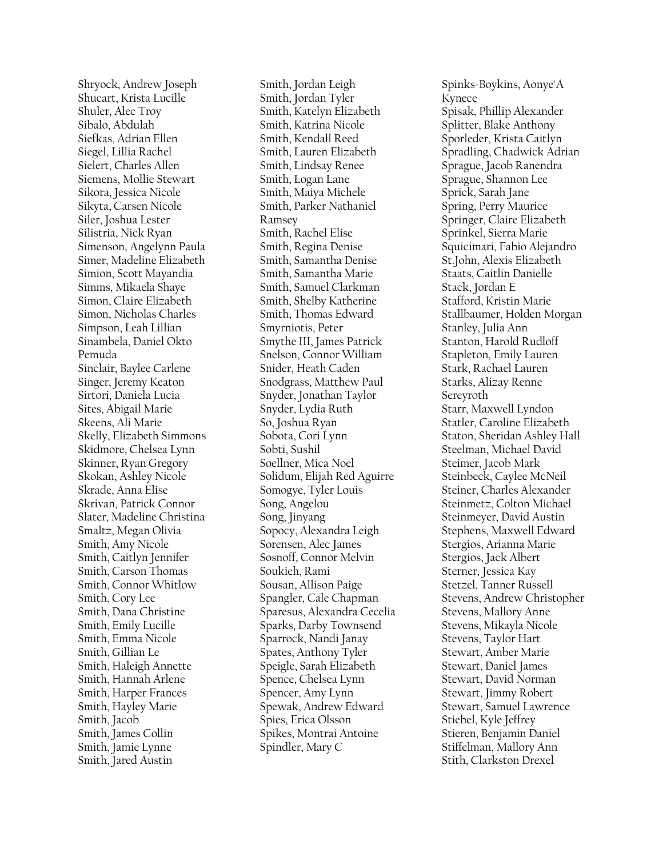Shryock, Andrew Joseph Shucart, Krista Lucille Shuler, Alec Troy Sibalo, Abdulah Siefkas, Adrian Ellen Siegel, Lillia Rachel Sielert, Charles Allen Siemens, Mollie Stewart Sikora, Jessica Nicole Sikyta, Carsen Nicole Siler, Joshua Lester Silistria, Nick Ryan Simenson, Angelynn Paula Simer, Madeline Elizabeth Simion, Scott Mayandia Simms, Mikaela Shaye Simon, Claire Elizabeth Simon, Nicholas Charles Simpson, Leah Lillian Sinambela, Daniel Okto Pemuda Sinclair, Baylee Carlene Singer, Jeremy Keaton Sirtori, Daniela Lucia Sites, Abigail Marie Skeens, Ali Marie Skelly, Elizabeth Simmons Skidmore, Chelsea Lynn Skinner, Ryan Gregory Skokan, Ashley Nicole Skrade, Anna Elise Skrivan, Patrick Connor Slater, Madeline Christina Smaltz, Megan Olivia Smith, Amy Nicole Smith, Caitlyn Jennifer Smith, Carson Thomas Smith, Connor Whitlow Smith, Cory Lee Smith, Dana Christine Smith, Emily Lucille Smith, Emma Nicole Smith, Gillian Le Smith, Haleigh Annette Smith, Hannah Arlene Smith, Harper Frances Smith, Hayley Marie Smith, Jacob Smith, James Collin Smith, Jamie Lynne Smith, Jared Austin

Smith, Jordan Leigh Smith, Jordan Tyler Smith, Katelyn Elizabeth Smith, Katrina Nicole Smith, Kendall Reed Smith, Lauren Elizabeth Smith, Lindsay Renee Smith, Logan Lane Smith, Maiya Michele Smith, Parker Nathaniel Ramsey Smith, Rachel Elise Smith, Regina Denise Smith, Samantha Denise Smith, Samantha Marie Smith, Samuel Clarkman Smith, Shelby Katherine Smith, Thomas Edward Smyrniotis, Peter Smythe III, James Patrick Snelson, Connor William Snider, Heath Caden Snodgrass, Matthew Paul Snyder, Jonathan Taylor Snyder, Lydia Ruth So, Joshua Ryan Sobota, Cori Lynn Sobti, Sushil Soellner, Mica Noel Solidum, Elijah Red Aguirre Somogye, Tyler Louis Song, Angelou Song, Jinyang Sopocy, Alexandra Leigh Sorensen, Alec James Sosnoff, Connor Melvin Soukieh, Rami Sousan, Allison Paige Spangler, Cale Chapman Sparesus, Alexandra Cecelia Sparks, Darby Townsend Sparrock, Nandi Janay Spates, Anthony Tyler Speigle, Sarah Elizabeth Spence, Chelsea Lynn Spencer, Amy Lynn Spewak, Andrew Edward Spies, Erica Olsson Spikes, Montrai Antoine Spindler, Mary C

Spinks -Boykins, Aonye'A Kynece Spisak, Phillip Alexander Splitter, Blake Anthony Sporleder, Krista Caitlyn Spradling, Chadwick Adrian Sprague, Jacob Ranendra Sprague, Shannon Lee Sprick, Sarah Jane Spring, Perry Maurice Springer, Claire Elizabeth Sprinkel, Sierra Marie Squicimari, Fabio Alejandro St.John, Alexis Elizabeth Staats, Caitlin Danielle Stack, Jordan E Stafford, Kristin Marie Stallbaumer, Holden Morgan Stanley, Julia Ann Stanton, Harold Rudloff Stapleton, Emily Lauren Stark, Rachael Lauren Starks, Alizay Renne Sereyroth Starr, Maxwell Lyndon Statler, Caroline Elizabeth Staton, Sheridan Ashley Hall Steelman, Michael David Steimer, Jacob Mark Steinbeck, Caylee McNeil Steiner, Charles Alexander Steinmetz, Colton Michael Steinmeyer, David Austin Stephens, Maxwell Edward Stergios, Arianna Marie Stergios, Jack Albert Sterner, Jessica Kay Stetzel, Tanner Russell Stevens, Andrew Christopher Stevens, Mallory Anne Stevens, Mikayla Nicole Stevens, Taylor Hart Stewart, Amber Marie Stewart, Daniel James Stewart, David Norman Stewart, Jimmy Robert Stewart, Samuel Lawrence Stiebel, Kyle Jeffrey Stieren, Benjamin Daniel Stiffelman, Mallory Ann Stith, Clarkston Drexel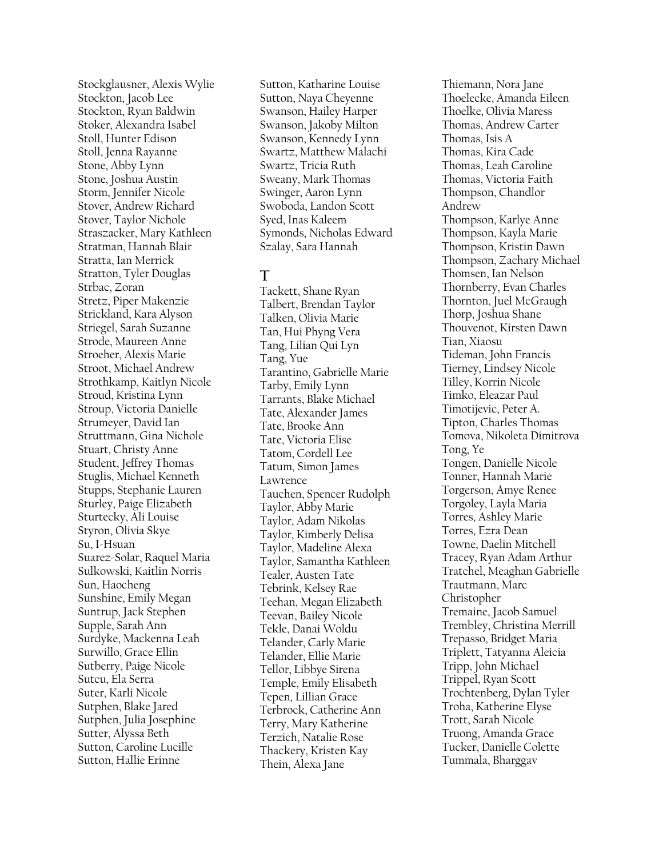Stockglausner, Alexis Wylie Stockton, Jacob Lee Stockton, Ryan Baldwin Stoker, Alexandra Isabel Stoll, Hunter Edison Stoll, Jenna Rayanne Stone, Abby Lynn Stone, Joshua Austin Storm, Jennifer Nicole Stover, Andrew Richard Stover, Taylor Nichole Straszacker, Mary Kathleen Stratman, Hannah Blair Stratta, Ian Merrick Stratton, Tyler Douglas Strbac, Zoran Stretz, Piper Makenzie Strickland, Kara Alyson Striegel, Sarah Suzanne Strode, Maureen Anne Stroeher, Alexis Marie Stroot, Michael Andrew Strothkamp, Kaitlyn Nicole Stroud, Kristina Lynn Stroup, Victoria Danielle Strumeyer, David Ian Struttmann, Gina Nichole Stuart, Christy Anne Student, Jeffrey Thomas Stuglis, Michael Kenneth Stupps, Stephanie Lauren Sturley, Paige Elizabeth Sturtecky, Ali Louise Styron, Olivia Skye Su, I-Hsuan Suarez-Solar, Raquel Maria Sulkowski, Kaitlin Norris Sun, Haocheng Sunshine, Emily Megan Suntrup, Jack Stephen Supple, Sarah Ann Surdyke, Mackenna Leah Surwillo, Grace Ellin Sutberry, Paige Nicole Sutcu, Ela Serra Suter, Karli Nicole Sutphen, Blake Jared Sutphen, Julia Josephine Sutter, Alyssa Beth Sutton, Caroline Lucille Sutton, Hallie Erinne

Sutton, Katharine Louise Sutton, Naya Cheyenne Swanson, Hailey Harper Swanson, Jakoby Milton Swanson, Kennedy Lynn Swartz, Matthew Malachi Swartz, Tricia Ruth Sweany, Mark Thomas Swinger, Aaron Lynn Swoboda, Landon Scott Syed, Inas Kaleem Symonds, Nicholas Edward Szalay, Sara Hannah

# **T**

Tackett, Shane Ryan Talbert, Brendan Taylor Talken, Olivia Marie Tan, Hui Phyng Vera Tang, Lilian Qui Lyn Tang, Yue Tarantino, Gabrielle Marie Tarby, Emily Lynn Tarrants, Blake Michael Tate, Alexander James Tate, Brooke Ann Tate, Victoria Elise Tatom, Cordell Lee Tatum, Simon James Lawrence Tauchen, Spencer Rudolph Taylor, Abby Marie Taylor, Adam Nikolas Taylor, Kimberly Delisa Taylor, Madeline Alexa Taylor, Samantha Kathleen Tealer, Austen Tate Tebrink, Kelsey Rae Teehan, Megan Elizabeth Teevan, Bailey Nicole Tekle, Danai Woldu Telander, Carly Marie Telander, Ellie Marie Tellor, Libbye Sirena Temple, Emily Elisabeth Tepen, Lillian Grace Terbrock, Catherine Ann Terry, Mary Katherine Terzich, Natalie Rose Thackery, Kristen Kay Thein, Alexa Jane

Thiemann, Nora Jane Thoelecke, Amanda Eileen Thoelke, Olivia Maress Thomas, Andrew Carter Thomas, Isis A Thomas, Kira Cade Thomas, Leah Caroline Thomas, Victoria Faith Thompson, Chandlor Andrew Thompson, Karlye Anne Thompson, Kayla Marie Thompson, Kristin Dawn Thompson, Zachary Michael Thomsen, Ian Nelson Thornberry, Evan Charles Thornton, Juel McGraugh Thorp, Joshua Shane Thouvenot, Kirsten Dawn Tian, Xiaosu Tideman, John Francis Tierney, Lindsey Nicole Tilley, Korrin Nicole Timko, Eleazar Paul Timotijevic, Peter A. Tipton, Charles Thomas Tomova, Nikoleta Dimitrova Tong, Ye Tongen, Danielle Nicole Tonner, Hannah Marie Torgerson, Amye Renee Torgoley, Layla Maria Torres, Ashley Marie Torres, Ezra Dean Towne, Daelin Mitchell Tracey, Ryan Adam Arthur Tratchel, Meaghan Gabrielle Trautmann, Marc Christopher Tremaine, Jacob Samuel Trembley, Christina Merrill Trepasso, Bridget Maria Triplett, Tatyanna Aleicia Tripp, John Michael Trippel, Ryan Scott Trochtenberg, Dylan Tyler Troha, Katherine Elyse Trott, Sarah Nicole Truong, Amanda Grace Tucker, Danielle Colette Tummala, Bharggav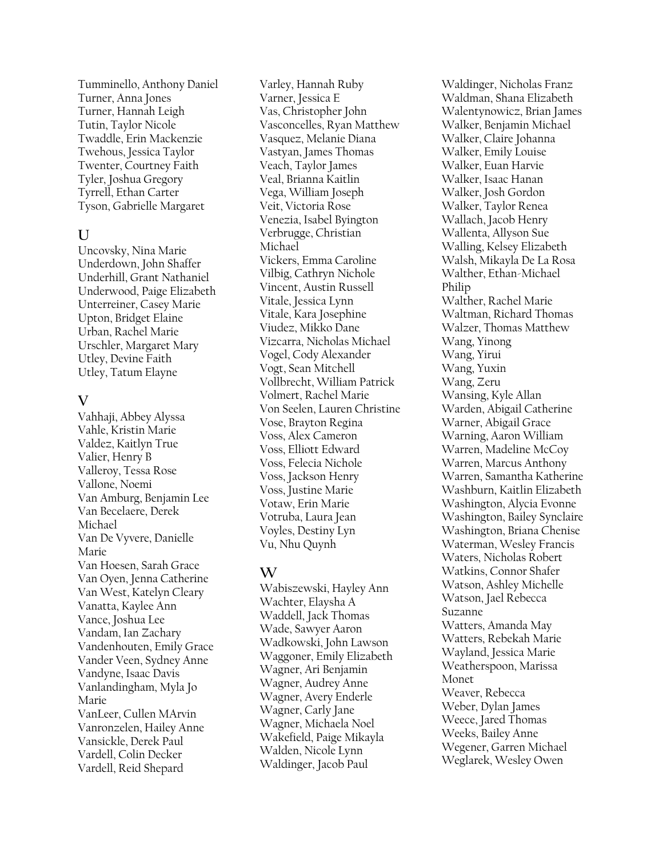Tumminello, Anthony Daniel Turner, Anna Jones Turner, Hannah Leigh Tutin, Taylor Nicole Twaddle, Erin Mackenzie Twehous, Jessica Taylor Twenter, Courtney Faith Tyler, Joshua Gregory Tyrrell, Ethan Carter Tyson, Gabrielle Margaret

### **U**

Uncovsky, Nina Marie Underdown, John Shaffer Underhill, Grant Nathaniel Underwood, Paige Elizabeth Unterreiner, Casey Marie Upton, Bridget Elaine Urban, Rachel Marie Urschler, Margaret Mary Utley, Devine Faith Utley, Tatum Elayne

### **V**

Vahhaji, Abbey Alyssa Vahle, Kristin Marie Valdez, Kaitlyn True Valier, Henry B Valleroy, Tessa Rose Vallone, Noemi Van Amburg, Benjamin Lee Van Becelaere, Derek Michael Van De Vyvere, Danielle Marie Van Hoesen, Sarah Grace Van Oyen, Jenna Catherine Van West, Katelyn Cleary Vanatta, Kaylee Ann Vance, Joshua Lee Vandam, Ian Zachary Vandenhouten, Emily Grace Vander Veen, Sydney Anne Vandyne, Isaac Davis Vanlandingham, Myla Jo Marie VanLeer, Cullen MArvin Vanronzelen, Hailey Anne Vansickle, Derek Paul Vardell, Colin Decker Vardell, Reid Shepard

Varley, Hannah Ruby Varner, Jessica E Vas, Christopher John Vasconcelles, Ryan Matthew Vasquez, Melanie Diana Vastyan, James Thomas Veach, Taylor James Veal, Brianna Kaitlin Vega, William Joseph Veit, Victoria Rose Venezia, Isabel Byington Verbrugge, Christian Michael Vickers, Emma Caroline Vilbig, Cathryn Nichole Vincent, Austin Russell Vitale, Jessica Lynn Vitale, Kara Josephine Viudez, Mikko Dane Vizcarra, Nicholas Michael Vogel, Cody Alexander Vogt, Sean Mitchell Vollbrecht, William Patrick Volmert, Rachel Marie Von Seelen, Lauren Christine Vose, Brayton Regina Voss, Alex Cameron Voss, Elliott Edward Voss, Felecia Nichole Voss, Jackson Henry Voss, Justine Marie Votaw, Erin Marie Votruba, Laura Jean Voyles, Destiny Lyn Vu, Nhu Quynh

# **W**

Wabiszewski, Hayley Ann Wachter, Elaysha A Waddell, Jack Thomas Wade, Sawyer Aaron Wadkowski, John Lawson Waggoner, Emily Elizabeth Wagner, Ari Benjamin Wagner, Audrey Anne Wagner, Avery Enderle Wagner, Carly Jane Wagner, Michaela Noel Wakefield, Paige Mikayla Walden, Nicole Lynn Waldinger, Jacob Paul

Waldinger, Nicholas Franz Waldman, Shana Elizabeth Walentynowicz, Brian James Walker, Benjamin Michael Walker, Claire Johanna Walker, Emily Louise Walker, Euan Harvie Walker, Isaac Hanan Walker, Josh Gordon Walker, Taylor Renea Wallach, Jacob Henry Wallenta, Allyson Sue Walling, Kelsey Elizabeth Walsh, Mikayla De La Rosa Walther, Ethan-Michael Philip Walther, Rachel Marie Waltman, Richard Thomas Walzer, Thomas Matthew Wang, Yinong Wang, Yirui Wang, Yuxin Wang, Zeru Wansing, Kyle Allan Warden, Abigail Catherine Warner, Abigail Grace Warning, Aaron William Warren, Madeline McCoy Warren, Marcus Anthony Warren, Samantha Katherine Washburn, Kaitlin Elizabeth Washington, Alycia Evonne Washington, Bailey Synclaire Washington, Briana Chenise Waterman, Wesley Francis Waters, Nicholas Robert Watkins, Connor Shafer Watson, Ashley Michelle Watson, Jael Rebecca Suzanne Watters, Amanda May Watters, Rebekah Marie Wayland, Jessica Marie Weatherspoon, Marissa Monet Weaver, Rebecca Weber, Dylan James Weece, Jared Thomas Weeks, Bailey Anne Wegener, Garren Michael Weglarek, Wesley Owen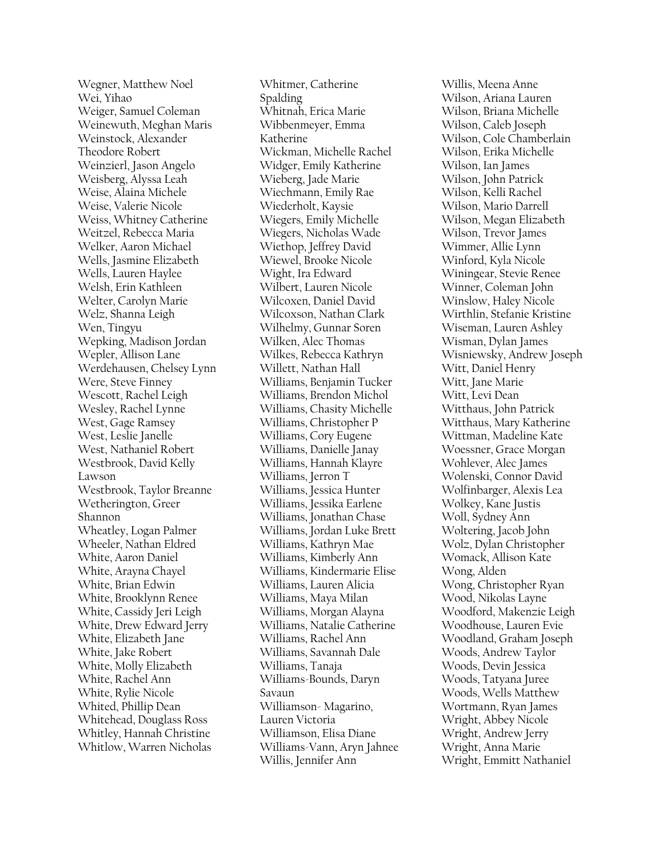Wegner, Matthew Noel Wei, Yihao Weiger, Samuel Coleman Weinewuth, Meghan Maris Weinstock, Alexander Theodore Robert Weinzierl, Jason Angelo Weisberg, Alyssa Leah Weise, Alaina Michele Weise, Valerie Nicole Weiss, Whitney Catherine Weitzel, Rebecca Maria Welker, Aaron Michael Wells, Jasmine Elizabeth Wells, Lauren Haylee Welsh, Erin Kathleen Welter, Carolyn Marie Welz, Shanna Leigh Wen, Tingyu Wepking, Madison Jordan Wepler, Allison Lane Werdehausen, Chelsey Lynn Were, Steve Finney Wescott, Rachel Leigh Wesley, Rachel Lynne West, Gage Ramsey West, Leslie Janelle West, Nathaniel Robert Westbrook, David Kelly Lawson Westbrook, Taylor Breanne Wetherington, Greer Shannon Wheatley, Logan Palmer Wheeler, Nathan Eldred White, Aaron Daniel White, Arayna Chayel White, Brian Edwin White, Brooklynn Renee White, Cassidy Jeri Leigh White, Drew Edward Jerry White, Elizabeth Jane White, Jake Robert White, Molly Elizabeth White, Rachel Ann White, Rylie Nicole Whited, Phillip Dean Whitehead, Douglass Ross Whitley, Hannah Christine Whitlow, Warren Nicholas

Whitmer, Catherine Spalding Whitnah, Erica Marie Wibbenmeyer, Emma Katherine Wickman, Michelle Rachel Widger, Emily Katherine Wieberg, Jade Marie Wiechmann, Emily Rae Wiederholt, Kaysie Wiegers, Emily Michelle Wiegers, Nicholas Wade Wiethop, Jeffrey David Wiewel, Brooke Nicole Wight, Ira Edward Wilbert, Lauren Nicole Wilcoxen, Daniel David Wilcoxson, Nathan Clark Wilhelmy, Gunnar Soren Wilken, Alec Thomas Wilkes, Rebecca Kathryn Willett, Nathan Hall Williams, Benjamin Tucker Williams, Brendon Michol Williams, Chasity Michelle Williams, Christopher P Williams, Cory Eugene Williams, Danielle Janay Williams, Hannah Klayre Williams, Jerron T Williams, Jessica Hunter Williams, Jessika Earlene Williams, Jonathan Chase Williams, Jordan Luke Brett Williams, Kathryn Mae Williams, Kimberly Ann Williams, Kindermarie Elise Williams, Lauren Alicia Williams, Maya Milan Williams, Morgan Alayna Williams, Natalie Catherine Williams, Rachel Ann Williams, Savannah Dale Williams, Tanaja Williams-Bounds, Daryn Savaun Williamson- Magarino, Lauren Victoria Williamson, Elisa Diane Williams-Vann, Aryn Jahnee Willis, Jennifer Ann

Willis, Meena Anne Wilson, Ariana Lauren Wilson, Briana Michelle Wilson, Caleb Joseph Wilson, Cole Chamberlain Wilson, Erika Michelle Wilson, Ian James Wilson, John Patrick Wilson, Kelli Rachel Wilson, Mario Darrell Wilson, Megan Elizabeth Wilson, Trevor James Wimmer, Allie Lynn Winford, Kyla Nicole Winingear, Stevie Renee Winner, Coleman John Winslow, Haley Nicole Wirthlin, Stefanie Kristine Wiseman, Lauren Ashley Wisman, Dylan James Wisniewsky, Andrew Joseph Witt, Daniel Henry Witt, Jane Marie Witt, Levi Dean Witthaus, John Patrick Witthaus, Mary Katherine Wittman, Madeline Kate Woessner, Grace Morgan Wohlever, Alec James Wolenski, Connor David Wolfinbarger, Alexis Lea Wolkey, Kane Justis Woll, Sydney Ann Woltering, Jacob John Wolz, Dylan Christopher Womack, Allison Kate Wong, Alden Wong, Christopher Ryan Wood, Nikolas Layne Woodford, Makenzie Leigh Woodhouse, Lauren Evie Woodland, Graham Joseph Woods, Andrew Taylor Woods, Devin Jessica Woods, Tatyana Juree Woods, Wells Matthew Wortmann, Ryan James Wright, Abbey Nicole Wright, Andrew Jerry Wright, Anna Marie Wright, Emmitt Nathaniel